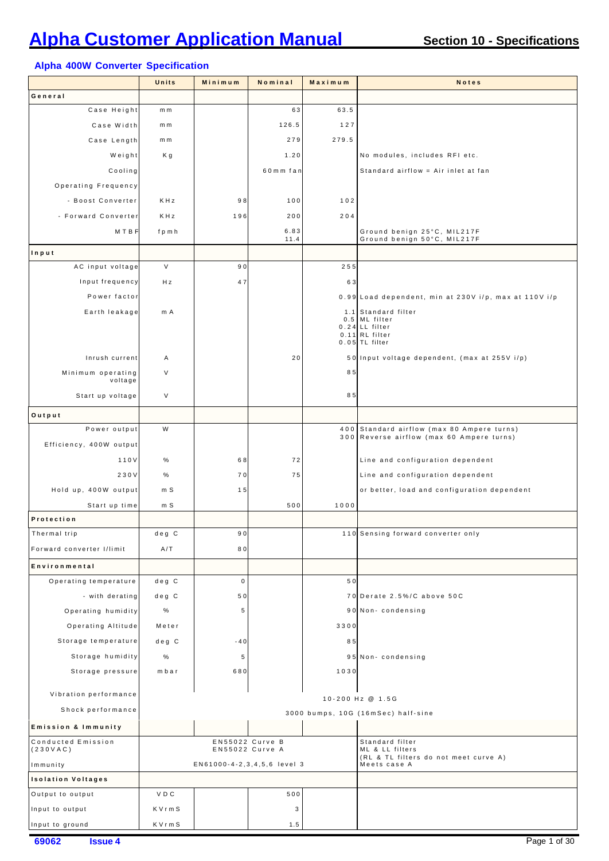### **Alpha 400W Converter Specification**

|                                | Units          | Minimum                     | Nominal                            | Maximum | <b>Notes</b>                                                                            |  |  |  |
|--------------------------------|----------------|-----------------------------|------------------------------------|---------|-----------------------------------------------------------------------------------------|--|--|--|
| General                        |                |                             |                                    |         |                                                                                         |  |  |  |
| Case Height                    | m m            |                             | 63                                 | 63.5    |                                                                                         |  |  |  |
| Case Width                     | m m            |                             | 126.5                              | 127     |                                                                                         |  |  |  |
| Case Length                    | m m            |                             | 279                                | 279.5   |                                                                                         |  |  |  |
| Weight                         | Κg             |                             | 1.20                               |         | No modules, includes RFI etc.                                                           |  |  |  |
| Cooling                        |                |                             | 60mm fan                           |         | Standard airflow = Air inlet at fan                                                     |  |  |  |
| Operating Frequency            |                |                             |                                    |         |                                                                                         |  |  |  |
| - Boost Converter              | KHz            | 98                          | 100                                | 102     |                                                                                         |  |  |  |
|                                |                |                             |                                    | 204     |                                                                                         |  |  |  |
| - Forward Converter            | KHz            | 196                         | 200                                |         |                                                                                         |  |  |  |
| MTBF                           | fpmh           |                             | 6.83<br>11.4                       |         | Ground benign 25°C, MIL217F<br>Ground benign 50°C, MIL217F                              |  |  |  |
| Input                          |                |                             |                                    |         |                                                                                         |  |  |  |
| AC input voltage               | $\vee$         | 90                          |                                    | 255     |                                                                                         |  |  |  |
| Input frequency                | H <sub>z</sub> | 47                          |                                    | 63      |                                                                                         |  |  |  |
| Power factor                   |                |                             |                                    |         | 0.99 Load dependent, min at 230V i/p, max at 110V i/p                                   |  |  |  |
| Earth leakage                  | m A            |                             |                                    |         | 1.1 Standard filter                                                                     |  |  |  |
|                                |                |                             |                                    |         | $0.5$ ML filter<br>0.24 LL filter                                                       |  |  |  |
|                                |                |                             |                                    |         | $0.11$ RL filter<br>$0.05$ TL filter                                                    |  |  |  |
|                                |                |                             |                                    |         |                                                                                         |  |  |  |
| Inrush current                 | Α              |                             | 20                                 |         | 50 Input voltage dependent, (max at 255V i/p)                                           |  |  |  |
| Minimum operating<br>voltage   | V              |                             |                                    | 85      |                                                                                         |  |  |  |
| Start up voltage               | V              |                             |                                    | 85      |                                                                                         |  |  |  |
|                                |                |                             |                                    |         |                                                                                         |  |  |  |
| Output                         |                |                             |                                    |         |                                                                                         |  |  |  |
| Power output                   | W              |                             |                                    |         | 400 Standard airflow (max 80 Ampere turns)<br>300 Reverse airflow (max 60 Ampere turns) |  |  |  |
| Efficiency, 400W output        |                |                             |                                    |         |                                                                                         |  |  |  |
| 110V                           | $\%$           | 68                          | 72                                 |         | Line and configuration dependent                                                        |  |  |  |
| 230V                           | $\%$           | 70                          | 75                                 |         | Line and configuration dependent                                                        |  |  |  |
| Hold up, 400W output           | m S            | 15                          |                                    |         | or better, load and configuration dependent                                             |  |  |  |
| Start up time                  | m S            |                             | 500                                | 1000    |                                                                                         |  |  |  |
| Protection                     |                |                             |                                    |         |                                                                                         |  |  |  |
| Thermal trip                   | d e g C        | 90                          |                                    |         | 110 Sensing forward converter only                                                      |  |  |  |
| Forward converter I/limit      | A/T            | 80                          |                                    |         |                                                                                         |  |  |  |
| Environmental                  |                |                             |                                    |         |                                                                                         |  |  |  |
| Operating temperature          | deg C          | $\mathbf 0$                 |                                    | 50      |                                                                                         |  |  |  |
| - with derating                | deg C          | 50                          |                                    |         | 70 Derate 2.5%/C above 50C                                                              |  |  |  |
| Operating humidity             | %              | 5                           |                                    |         | 90 Non-condensing                                                                       |  |  |  |
| Operating Altitude             | Meter          |                             |                                    | 3300    |                                                                                         |  |  |  |
| Storage temperature            |                |                             |                                    |         |                                                                                         |  |  |  |
|                                | deg C          | $-40$                       |                                    | 85      |                                                                                         |  |  |  |
| Storage humidity               | $\%$           | 5                           |                                    |         | 95 Non-condensing                                                                       |  |  |  |
| Storage pressure               | mbar           | 680                         |                                    | 1030    |                                                                                         |  |  |  |
| Vibration performance          |                |                             |                                    |         |                                                                                         |  |  |  |
| Shock performance              |                |                             |                                    |         | 10-200 Hz @ 1.5G                                                                        |  |  |  |
|                                |                |                             |                                    |         | 3000 bumps, 10G (16mSec) half-sine                                                      |  |  |  |
| <b>Emission &amp; Immunity</b> |                |                             |                                    |         |                                                                                         |  |  |  |
| Conducted Emission<br>(230VAC) |                |                             | EN55022 Curve B<br>EN55022 Curve A |         | Standard filter<br>ML & LL filters                                                      |  |  |  |
| Immunity                       |                | EN61000-4-2,3,4,5,6 level 3 |                                    |         | (RL & TL filters do not meet curve A)<br>Meets case A                                   |  |  |  |
| <b>Isolation Voltages</b>      |                |                             |                                    |         |                                                                                         |  |  |  |
| Output to output               | VDC            |                             | 500                                |         |                                                                                         |  |  |  |
| Input to output                | KVrmS          |                             | 3                                  |         |                                                                                         |  |  |  |
| Input to ground                | KVrmS          |                             | 1.5                                |         |                                                                                         |  |  |  |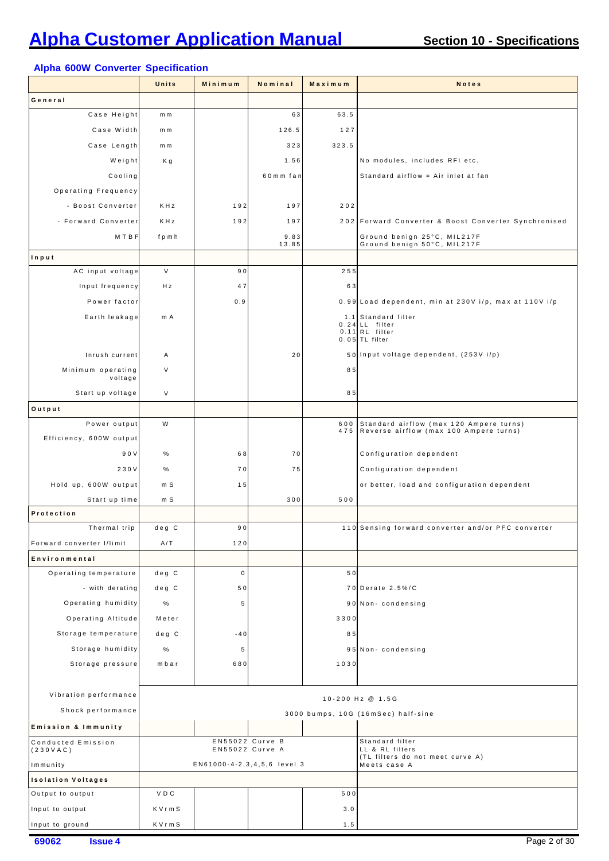#### **Alpha 600W Converter Specification**

|                                | Units          | Minimum                         | Nominal                            | Maximum    | <b>Notes</b>                                                                      |  |  |
|--------------------------------|----------------|---------------------------------|------------------------------------|------------|-----------------------------------------------------------------------------------|--|--|
| General                        |                |                                 |                                    |            |                                                                                   |  |  |
| Case Height                    | m <sub>m</sub> |                                 | 63                                 | 63.5       |                                                                                   |  |  |
| Case Width                     | m <sub>m</sub> |                                 | 126.5                              | 127        |                                                                                   |  |  |
| Case Length                    | m m            |                                 | 323                                | 323.5      |                                                                                   |  |  |
| Weight                         | Κg             |                                 | 1.56                               |            | No modules, includes RFI etc.                                                     |  |  |
| Cooling                        |                |                                 | 60mm fan                           |            | Standard airflow = Air inlet at fan                                               |  |  |
| Operating Frequency            |                |                                 |                                    |            |                                                                                   |  |  |
| - Boost Converter              | KHz            | 192                             | 197                                | 202        |                                                                                   |  |  |
| - Forward Converter            | KHz            | 192                             | 197                                |            | 202 Forward Converter & Boost Converter Synchronised                              |  |  |
| MTBF                           | fpmh           |                                 | 9.83                               |            | Ground benign 25°C, MIL217F                                                       |  |  |
|                                |                |                                 | 13.85                              |            | Ground benign 50°C, MIL217F                                                       |  |  |
| Input<br>AC input voltage      | $\vee$         | 90                              |                                    | 255        |                                                                                   |  |  |
| Input frequency                | H z            | 47                              |                                    | 63         |                                                                                   |  |  |
| Power factor                   |                | 0.9                             |                                    |            |                                                                                   |  |  |
|                                |                |                                 |                                    |            | 0.99 Load dependent, min at 230V i/p, max at 110V i/p                             |  |  |
| Earth leakage                  | m A            |                                 |                                    |            | 1.1 Standard filter<br>$0.24$ LL filter                                           |  |  |
|                                |                |                                 |                                    |            | 0.11 RL filter<br>$0.05$ TL filter                                                |  |  |
| Inrush current                 | Α              |                                 | 20                                 |            | 50 Input voltage dependent, (253V i/p)                                            |  |  |
| Minimum operating              | V              |                                 |                                    | 85         |                                                                                   |  |  |
| voltage                        |                |                                 |                                    |            |                                                                                   |  |  |
| Start up voltage               | $\vee$         |                                 |                                    | 85         |                                                                                   |  |  |
| Output                         |                |                                 |                                    |            |                                                                                   |  |  |
| Power output                   | W              |                                 |                                    | 600<br>475 | Standard airflow (max 120 Ampere turns)<br>Reverse airflow (max 100 Ampere turns) |  |  |
| Efficiency, 600W output        |                |                                 |                                    |            |                                                                                   |  |  |
| 90V                            | $\%$           | 68                              | 70                                 |            | Configuration dependent                                                           |  |  |
| 230V                           | %              | 70                              | 75                                 |            | Configuration dependent                                                           |  |  |
| Hold up, 600W output           | m S            | 15                              |                                    |            | or better, load and configuration dependent                                       |  |  |
| Start up time                  | m S            |                                 | 300                                | 500        |                                                                                   |  |  |
| Protection                     |                |                                 |                                    |            |                                                                                   |  |  |
| Thermal trip                   | deg C          | 90                              |                                    |            | 110 Sensing forward converter and/or PFC converter                                |  |  |
| Forward converter I/limit      | A/T            | 120                             |                                    |            |                                                                                   |  |  |
| Environmental                  |                |                                 |                                    |            |                                                                                   |  |  |
| Operating temperature          | deg C          | $\mathbf 0$                     |                                    | 50         |                                                                                   |  |  |
| - with derating                | deg C          | 50                              |                                    |            | 70 Derate 2.5%/C                                                                  |  |  |
| Operating humidity             | $\%$           | 5                               |                                    |            | 90 Non-condensing                                                                 |  |  |
| Operating Altitude             | Meter          |                                 |                                    | 3300       |                                                                                   |  |  |
| Storage temperature            | deg C          | $-40$                           |                                    | 85         |                                                                                   |  |  |
| Storage humidity               | %              | 5                               |                                    |            | 95 Non-condensing                                                                 |  |  |
| Storage pressure               | mbar           | 680                             |                                    | 1030       |                                                                                   |  |  |
|                                |                |                                 |                                    |            |                                                                                   |  |  |
| Vibration performance          |                |                                 |                                    |            | 10-200 Hz @ 1.5G                                                                  |  |  |
| Shock performance              |                |                                 |                                    |            | 3000 bumps, 10G (16mSec) half-sine                                                |  |  |
| <b>Emission &amp; Immunity</b> |                |                                 |                                    |            |                                                                                   |  |  |
| Conducted Emission<br>(230VAC) |                |                                 | EN55022 Curve B<br>EN55022 Curve A |            | Standard filter<br>LL & RL filters                                                |  |  |
| Immunity                       |                | EN61000-4-2, 3, 4, 5, 6 level 3 |                                    |            | (TL filters do not meet curve A)<br>Meets case A                                  |  |  |
| <b>Isolation Voltages</b>      |                |                                 |                                    |            |                                                                                   |  |  |
| Output to output               | VDC            |                                 |                                    | 500        |                                                                                   |  |  |
| Input to output                | KVrmS          |                                 |                                    | 3.0        |                                                                                   |  |  |
| Input to ground                | KVrmS          |                                 |                                    | 1.5        |                                                                                   |  |  |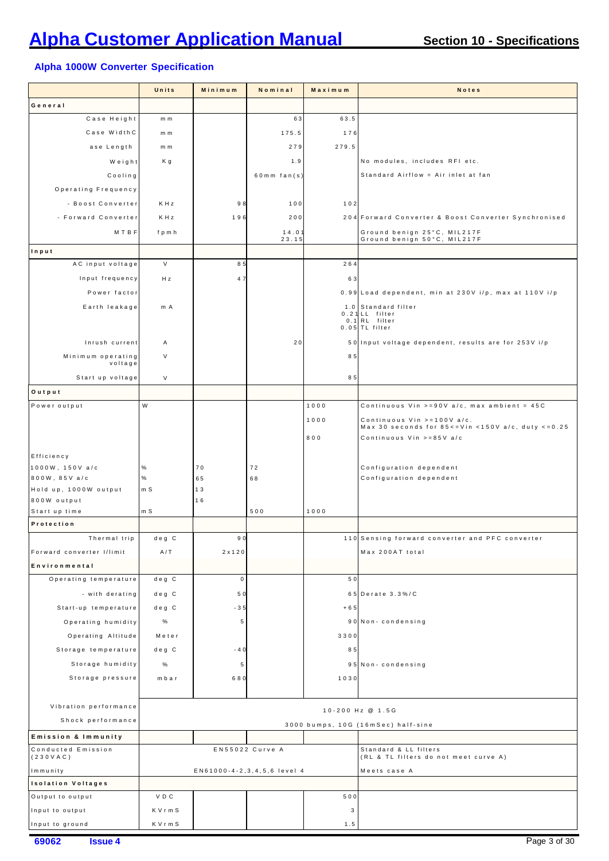#### **Alpha 1000W Converter Specification**

|                                        | Units    | Minimum        | Nominal                     | Maximum | <b>Notes</b>                                                                               |  |  |  |
|----------------------------------------|----------|----------------|-----------------------------|---------|--------------------------------------------------------------------------------------------|--|--|--|
| General                                |          |                |                             |         |                                                                                            |  |  |  |
| Case Height                            | m m      |                | 63                          | 63.5    |                                                                                            |  |  |  |
| Case WidthC                            | m m      |                | 175.5                       | 176     |                                                                                            |  |  |  |
| ase Length                             | m m      |                | 279                         | 279.5   |                                                                                            |  |  |  |
|                                        |          |                |                             |         |                                                                                            |  |  |  |
| Weight                                 | Κg       |                | 1.9                         |         | No modules, includes RFI etc.                                                              |  |  |  |
| Cooling                                |          |                | $60mm$ fan $(s)$            |         | Standard Airflow = Air inlet at fan                                                        |  |  |  |
| Operating Frequency                    |          |                |                             |         |                                                                                            |  |  |  |
| - Boost Converter                      | KHz      | 98             | 100                         | 102     |                                                                                            |  |  |  |
| - Forward Converter                    | KHz      | 196            | 200                         |         | 204 Forward Converter & Boost Converter Synchronised                                       |  |  |  |
| <b>MTBF</b>                            | fpmh     |                | 14.0<br>23.15               |         | Ground benign 25°C, MIL217F<br>Ground benign 50°C, MIL217F                                 |  |  |  |
| Input                                  |          |                |                             |         |                                                                                            |  |  |  |
| AC input voltage                       | $\vee$   | 85             |                             | 264     |                                                                                            |  |  |  |
| Input frequency                        | H z      | 47             |                             | 63      |                                                                                            |  |  |  |
| Power factor                           |          |                |                             |         | 0.99 Load dependent, min at 230V i/p, max at 110V i/p                                      |  |  |  |
| Earth leakage                          | m A      |                |                             |         | 1.0 Standard filter                                                                        |  |  |  |
|                                        |          |                |                             |         | 0.21LL filter                                                                              |  |  |  |
|                                        |          |                |                             |         | 0.1 RL filter<br>$0.05$ TL filter                                                          |  |  |  |
| Inrush current                         | Α        |                | 20                          |         | 50 Input voltage dependent, results are for 253V i/p                                       |  |  |  |
| Minimum operating                      | V        |                |                             | 85      |                                                                                            |  |  |  |
| voltage                                |          |                |                             |         |                                                                                            |  |  |  |
| Start up voltage                       | V        |                |                             | 85      |                                                                                            |  |  |  |
| Output                                 |          |                |                             |         |                                                                                            |  |  |  |
| Power output                           | W        |                |                             | 1000    | Continuous Vin $>=90V$ a/c, max ambient = 45C                                              |  |  |  |
|                                        |          |                |                             | 1000    | Continuous Vin $> = 100V$ a/c.                                                             |  |  |  |
|                                        |          |                |                             | 800     | Max 30 seconds for $85 \le x \le 100$ a/c, duty $\lt = 0.25$<br>Continuous Vin $>=85V$ a/c |  |  |  |
|                                        |          |                |                             |         |                                                                                            |  |  |  |
| Efficiency                             |          |                |                             |         |                                                                                            |  |  |  |
| 1000W, 150V a/c                        | $\%$     | 70             | 72                          |         | Configuration dependent                                                                    |  |  |  |
| 800W, 85V a/c<br>Hold up, 1000W output | %<br>m S | 65<br>13       | 68                          |         | Configuration dependent                                                                    |  |  |  |
| 800W output                            |          | 16             |                             |         |                                                                                            |  |  |  |
| Start up time                          | m S      |                | 500                         | 1000    |                                                                                            |  |  |  |
| Protection                             |          |                |                             |         |                                                                                            |  |  |  |
| Thermal trip                           | deg C    | 90             |                             |         | 110 Sensing forward converter and PFC converter                                            |  |  |  |
| Forward converter I/limit              | A/T      | $2 \times 120$ |                             |         | Max 200AT total                                                                            |  |  |  |
| Environmental                          |          |                |                             |         |                                                                                            |  |  |  |
| Operating temperature                  | deg C    | $\mathsf 0$    |                             | 50      |                                                                                            |  |  |  |
| - with derating                        | deg C    | 50             |                             |         | 65 Derate 3.3%/C                                                                           |  |  |  |
| Start-up temperature                   | deg C    | $-35$          |                             | $+65$   |                                                                                            |  |  |  |
| Operating humidity                     | %        | 5              |                             |         | 90 Non-condensing                                                                          |  |  |  |
|                                        |          |                |                             |         |                                                                                            |  |  |  |
| Operating Altitude                     | Meter    |                |                             | 3300    |                                                                                            |  |  |  |
| Storage temperature                    | $deg$ C  | $-40$          |                             | 85      |                                                                                            |  |  |  |
| Storage humidity                       | $\%$     | 5              |                             |         | 95 Non-condensing                                                                          |  |  |  |
| Storage pressure                       | mbar     | 680            |                             | 1030    |                                                                                            |  |  |  |
|                                        |          |                |                             |         |                                                                                            |  |  |  |
| Vibration performance                  |          |                |                             |         | 10-200 Hz @ 1.5G                                                                           |  |  |  |
| Shock performance                      |          |                |                             |         | 3000 bumps, 10G (16mSec) half-sine                                                         |  |  |  |
| <b>Emission &amp; Immunity</b>         |          |                |                             |         |                                                                                            |  |  |  |
| Conducted Emission                     |          |                | EN55022 Curve A             |         | Standard & LL filters                                                                      |  |  |  |
| (230VAC)<br>Immunity                   |          |                | EN61000-4-2,3,4,5,6 level 4 |         | (RL & TL filters do not meet curve A)<br>Meets case A                                      |  |  |  |
| <b>Isolation Voltages</b>              |          |                |                             |         |                                                                                            |  |  |  |
| Output to output                       | VDC      |                |                             | 500     |                                                                                            |  |  |  |
| Input to output                        | KVrmS    |                |                             | 3       |                                                                                            |  |  |  |
|                                        | KVrmS    |                |                             |         |                                                                                            |  |  |  |
| Input to ground                        |          |                |                             | 1.5     |                                                                                            |  |  |  |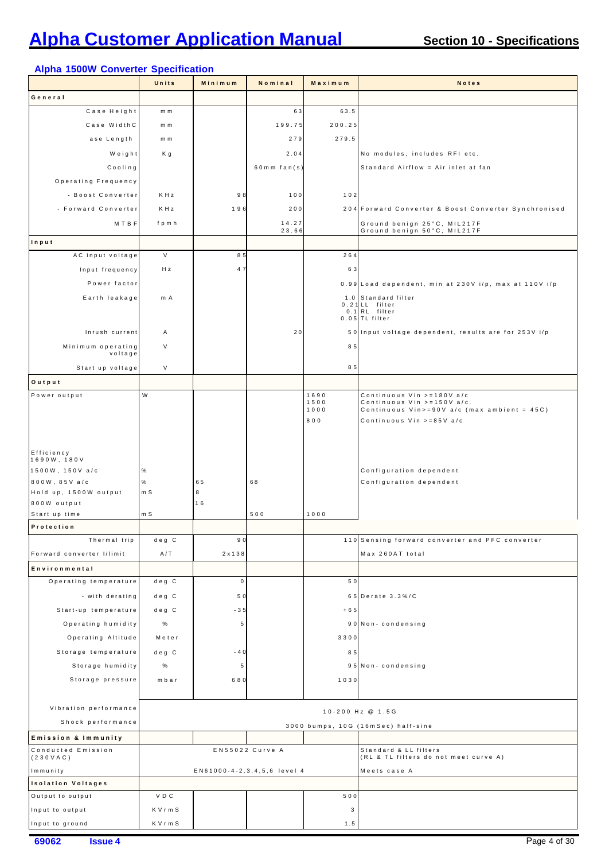|                                | Units          | Minimum     | Nominal                         | Maximum      | <b>Notes</b>                                                                     |  |  |  |
|--------------------------------|----------------|-------------|---------------------------------|--------------|----------------------------------------------------------------------------------|--|--|--|
| General                        |                |             |                                 |              |                                                                                  |  |  |  |
| Case Height                    | m m            |             | 63                              | 63.5         |                                                                                  |  |  |  |
| Case WidthC                    | m m            |             | 199.75                          | 200.25       |                                                                                  |  |  |  |
| ase Length                     | m m            |             | 279                             | 279.5        |                                                                                  |  |  |  |
| Weight                         | Κg             |             | 2.04                            |              | No modules, includes RFI etc.                                                    |  |  |  |
| Cooling                        |                |             | $60mm$ fan $(s)$                |              | Standard Airflow = Air inlet at fan                                              |  |  |  |
| Operating Frequency            |                |             |                                 |              |                                                                                  |  |  |  |
| - Boost Converter              | KHz            | 98          | 100                             | 102          |                                                                                  |  |  |  |
| - Forward Converter            | KHz            | 196         | 200                             |              | 204 Forward Converter & Boost Converter Synchronised                             |  |  |  |
|                                |                |             | 14.27                           |              |                                                                                  |  |  |  |
| MTBF                           | fpmh           |             | 23.66                           |              | Ground benign 25°C, MIL217F<br>Ground benign 50°C, MIL217F                       |  |  |  |
| Input                          |                |             |                                 |              |                                                                                  |  |  |  |
| AC input voltage               | $\vee$         | 85          |                                 | 264          |                                                                                  |  |  |  |
| Input frequency                | H <sub>z</sub> | 47          |                                 | 63           |                                                                                  |  |  |  |
| Power factor                   |                |             |                                 |              | 0.99 Load dependent, min at 230V i/p, max at 110V i/p                            |  |  |  |
| Earth leakage                  | m A            |             |                                 |              | 1.0 Standard filter                                                              |  |  |  |
|                                |                |             |                                 |              | 0.21LL filter<br>0.1 RL filter                                                   |  |  |  |
|                                |                |             |                                 |              | $0.05$ TL filter                                                                 |  |  |  |
| Inrush current                 | Α              |             | 20                              |              | 50 Input voltage dependent, results are for 253V i/p                             |  |  |  |
| Minimum operating<br>voltage   | V              |             |                                 | 85           |                                                                                  |  |  |  |
| Start up voltage               | V              |             |                                 | 85           |                                                                                  |  |  |  |
| Output                         |                |             |                                 |              |                                                                                  |  |  |  |
| Power output                   | W              |             |                                 | 1690         | Continuous Vin >=180V a/c                                                        |  |  |  |
|                                |                |             |                                 | 1500<br>1000 | Continuous Vin $> = 150V$ a/c.<br>Continuous Vin>=90V a/c (max ambient = $45C$ ) |  |  |  |
|                                |                |             |                                 | 800          | Continuous Vin $>=85V$ a/c                                                       |  |  |  |
|                                |                |             |                                 |              |                                                                                  |  |  |  |
|                                |                |             |                                 |              |                                                                                  |  |  |  |
| Efficiency<br>1690W, 180V      |                |             |                                 |              |                                                                                  |  |  |  |
| 1500W, 150V a/c                | $\%$           |             |                                 |              | Configuration dependent                                                          |  |  |  |
| 800W, 85V a/c                  | %              | 65          | 68                              |              | Configuration dependent                                                          |  |  |  |
| Hold up, 1500W output          | m S            | 8           |                                 |              |                                                                                  |  |  |  |
| 800W output<br>Start up time   | m S            | 16          | 500                             | 1000         |                                                                                  |  |  |  |
| Protection                     |                |             |                                 |              |                                                                                  |  |  |  |
| Thermal trip                   | deg C          | 90          |                                 |              | 110 Sensing forward converter and PFC converter                                  |  |  |  |
| Forward converter I/limit      | A/T            | 2x138       |                                 |              | Max 260AT total                                                                  |  |  |  |
| Environmental                  |                |             |                                 |              |                                                                                  |  |  |  |
| Operating temperature          |                | $\mathsf 0$ |                                 | 50           |                                                                                  |  |  |  |
|                                | deg C          |             |                                 |              |                                                                                  |  |  |  |
| - with derating                | deg C          | 50          |                                 |              | 65 Derate 3.3%/C                                                                 |  |  |  |
| Start-up temperature           | $deq$ $C$      | $-35$       |                                 | $+65$        |                                                                                  |  |  |  |
| Operating humidity             | $\%$           | 5           |                                 |              | 90 Non-condensing                                                                |  |  |  |
| Operating Altitude             | Meter          |             |                                 | 3300         |                                                                                  |  |  |  |
| Storage temperature            | $deq$ $C$      | $-40$       |                                 | 85           |                                                                                  |  |  |  |
| Storage humidity               | %              | 5           |                                 |              | 95 Non-condensing                                                                |  |  |  |
| Storage pressure               | mbar           | 680         |                                 | 1030         |                                                                                  |  |  |  |
|                                |                |             |                                 |              |                                                                                  |  |  |  |
| Vibration performance          |                |             |                                 |              | 10-200 Hz @ 1.5G                                                                 |  |  |  |
| Shock performance              |                |             |                                 |              | 3000 bumps, 10G (16mSec) half-sine                                               |  |  |  |
| <b>Emission &amp; Immunity</b> |                |             |                                 |              |                                                                                  |  |  |  |
| Conducted Emission             |                |             | EN55022 Curve A                 |              | Standard & LL filters                                                            |  |  |  |
| (230VAC)                       |                |             |                                 |              | (RL & TL filters do not meet curve A)                                            |  |  |  |
| Immunity                       |                |             | EN61000-4-2, 3, 4, 5, 6 level 4 |              | Meets case A                                                                     |  |  |  |
| <b>Isolation Voltages</b>      | VDC            |             |                                 |              |                                                                                  |  |  |  |
| Output to output               |                |             |                                 | 500          |                                                                                  |  |  |  |
| Input to output                | K V r m S      |             |                                 | 3            |                                                                                  |  |  |  |
| Input to ground                | KVrmS          |             |                                 | 1.5          |                                                                                  |  |  |  |

#### **Alpha 1500W Converter Specification**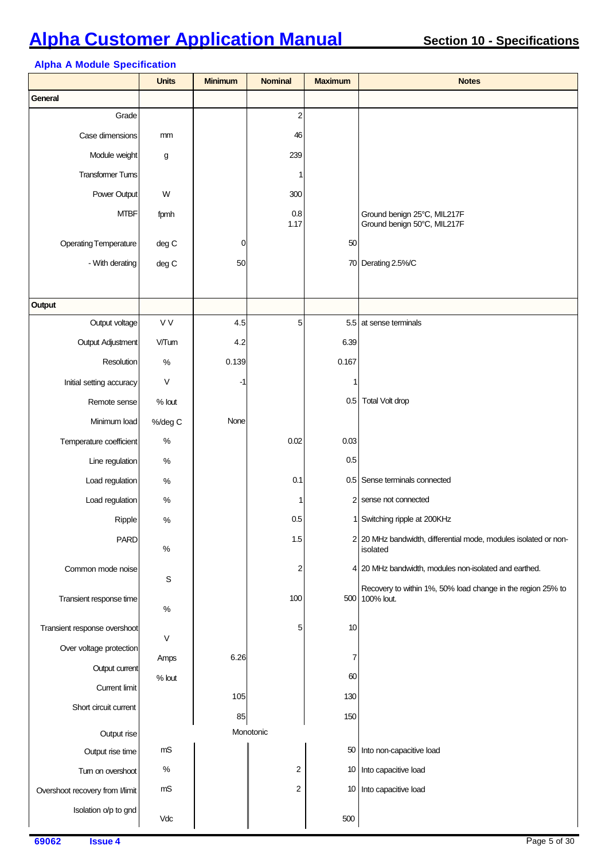#### **Alpha A Module Specification**

|                                                         | <b>Units</b> | <b>Minimum</b> | <b>Nominal</b>          | <b>Maximum</b>  | <b>Notes</b>                                                                  |  |  |  |
|---------------------------------------------------------|--------------|----------------|-------------------------|-----------------|-------------------------------------------------------------------------------|--|--|--|
| General                                                 |              |                |                         |                 |                                                                               |  |  |  |
| Grade                                                   |              |                | $\boldsymbol{2}$        |                 |                                                                               |  |  |  |
| Case dimensions                                         | mm           |                | 46                      |                 |                                                                               |  |  |  |
| Module weight                                           | g            |                | 239                     |                 |                                                                               |  |  |  |
| <b>Transformer Turns</b>                                |              |                | 1                       |                 |                                                                               |  |  |  |
| Power Output                                            | W            |                | 300                     |                 |                                                                               |  |  |  |
| <b>MTBF</b>                                             | fpmh         |                | $0.8\,$<br>1.17         |                 | Ground benign 25°C, MIL217F<br>Ground benign 50°C, MIL217F                    |  |  |  |
| <b>Operating Temperature</b>                            | deg C        | $\mathbf 0$    |                         | 50              |                                                                               |  |  |  |
| - With derating                                         | deg C        | 50             |                         |                 | 70 Derating 2.5%/C                                                            |  |  |  |
|                                                         |              |                |                         |                 |                                                                               |  |  |  |
| Output                                                  |              |                |                         |                 |                                                                               |  |  |  |
| Output voltage                                          | V V          | 4.5            | 5                       |                 | 5.5 at sense terminals                                                        |  |  |  |
| Output Adjustment                                       | V/Tum        | 4.2            |                         | 6.39            |                                                                               |  |  |  |
| Resolution                                              | $\%$         | 0.139          |                         | 0.167           |                                                                               |  |  |  |
| Initial setting accuracy                                | $\vee$       | -1             |                         | 1               |                                                                               |  |  |  |
| Remote sense                                            | % lout       |                |                         |                 | 0.5 Total Volt drop                                                           |  |  |  |
| Minimum load                                            | %/deg C      | None           |                         |                 |                                                                               |  |  |  |
| Temperature coefficient                                 | $\%$         |                | 0.02                    | 0.03            |                                                                               |  |  |  |
| Line regulation                                         | $\%$         |                |                         | 0.5             |                                                                               |  |  |  |
| Load regulation                                         | $\%$         |                | 0.1                     | 0.5             | Sense terminals connected                                                     |  |  |  |
| Load regulation                                         | $\%$         |                | 1                       | $\overline{2}$  | sense not connected                                                           |  |  |  |
| Ripple                                                  | %            |                | $0.5\,$                 | 1               | Switching ripple at 200KHz                                                    |  |  |  |
| <b>PARD</b>                                             | $\%$         |                | 1.5                     | $\overline{2}$  | 20 MHz bandwidth, differential mode, modules isolated or non-<br>isolated     |  |  |  |
| Common mode noise                                       |              |                | 2                       |                 | 4 20 MHz bandwidth, modules non-isolated and earthed.                         |  |  |  |
| Transient response time                                 | $\mathsf S$  |                | 100                     |                 | Recovery to within 1%, 50% load change in the region 25% to<br>500 100% lout. |  |  |  |
|                                                         | $\%$         |                | 5                       | 10              |                                                                               |  |  |  |
| Transient response overshoot<br>Over voltage protection | $\sf V$      |                |                         |                 |                                                                               |  |  |  |
|                                                         | Amps         | 6.26           |                         | 7               |                                                                               |  |  |  |
| Output current                                          | % lout       |                |                         | 60              |                                                                               |  |  |  |
| <b>Current limit</b>                                    |              | 105            |                         | 130             |                                                                               |  |  |  |
| Short circuit current                                   |              | 85             |                         | 150             |                                                                               |  |  |  |
| Output rise                                             |              |                | Monotonic               |                 |                                                                               |  |  |  |
| Output rise time                                        | mS           |                |                         | 50              | Into non-capacitive load                                                      |  |  |  |
| Turn on overshoot                                       | $\%$         |                | $\overline{\mathbf{c}}$ | 10 <sup>°</sup> | Into capacitive load                                                          |  |  |  |
| Overshoot recovery from Mimit                           | mS           |                | 2                       | 10              | Into capacitive load                                                          |  |  |  |
| Isolation o/p to gnd                                    | Vdc          |                |                         | 500             |                                                                               |  |  |  |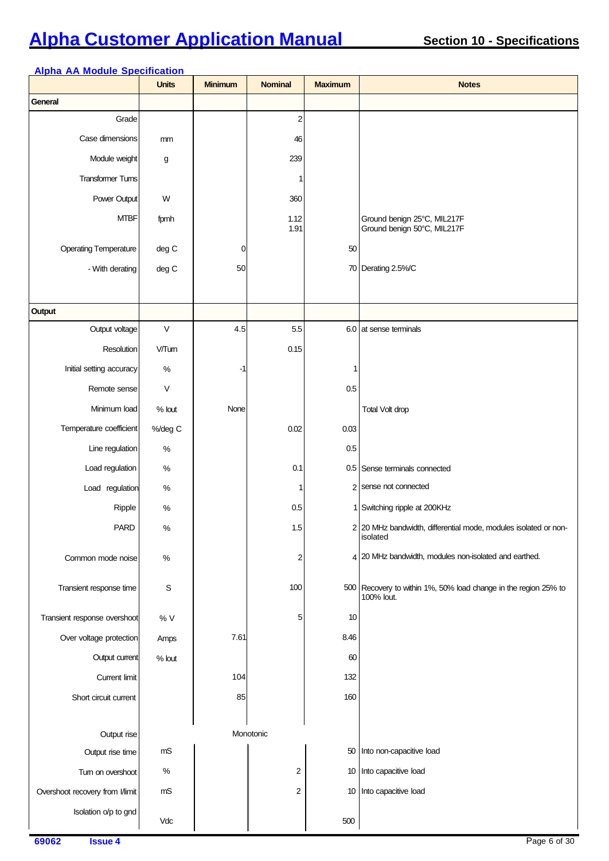| Alpha AA Module Opechication   | <b>Units</b> | <b>Minimum</b> | <b>Nominal</b>          | <b>Maximum</b> | <b>Notes</b>                                                                  |  |  |  |  |
|--------------------------------|--------------|----------------|-------------------------|----------------|-------------------------------------------------------------------------------|--|--|--|--|
| General                        |              |                |                         |                |                                                                               |  |  |  |  |
| Grade                          |              |                | $\overline{\mathbf{c}}$ |                |                                                                               |  |  |  |  |
| Case dimensions                | mm           |                | 46                      |                |                                                                               |  |  |  |  |
| Module weight                  | g            |                | 239                     |                |                                                                               |  |  |  |  |
| <b>Transformer Tums</b>        |              |                | 1                       |                |                                                                               |  |  |  |  |
| Power Output                   | W            |                | 360                     |                |                                                                               |  |  |  |  |
| <b>MTBF</b>                    | fpmh         |                | 1.12                    |                | Ground benign 25°C, MIL217F                                                   |  |  |  |  |
|                                |              |                | 1.91                    |                | Ground benign 50°C, MIL217F                                                   |  |  |  |  |
| <b>Operating Temperature</b>   | deg C        | $\mathbf 0$    |                         | 50             |                                                                               |  |  |  |  |
| - With derating                | deg C        | 50             |                         |                | 70 Derating 2.5%/C                                                            |  |  |  |  |
|                                |              |                |                         |                |                                                                               |  |  |  |  |
| Output                         |              |                |                         |                |                                                                               |  |  |  |  |
| Output voltage                 | $\mathsf V$  | 4.5            | 5.5                     |                | 6.0 at sense terminals                                                        |  |  |  |  |
| Resolution                     | V/Tum        |                | 0.15                    |                |                                                                               |  |  |  |  |
| Initial setting accuracy       | $\%$         | -1             |                         | 1              |                                                                               |  |  |  |  |
| Remote sense                   | V            |                |                         | 0.5            |                                                                               |  |  |  |  |
| Minimum load                   | % lout       | None           |                         |                | <b>Total Volt drop</b>                                                        |  |  |  |  |
| Temperature coefficient        | %/deg C      |                | 0.02                    | 0.03           |                                                                               |  |  |  |  |
| Line regulation                | $\%$         |                |                         | 0.5            |                                                                               |  |  |  |  |
| Load regulation                | $\%$         |                | 0.1                     |                | 0.5 Sense terminals connected                                                 |  |  |  |  |
| Load regulation                | $\%$         |                | 1                       |                | 2 sense not connected                                                         |  |  |  |  |
| Ripple                         | %            |                | $0.5\,$                 |                | 1 Switching ripple at 200KHz                                                  |  |  |  |  |
| <b>PARD</b>                    | $\%$         |                | $1.5\,$                 |                | 2 20 MHz bandwidth, differential mode, modules isolated or non-<br>isolated   |  |  |  |  |
| Common mode noise              | $\%$         |                | $\mathbf 2$             |                | 4 20 MHz bandwidth, modules non-isolated and earthed.                         |  |  |  |  |
| Transient response time        | S            |                | 100                     |                | 500 Recovery to within 1%, 50% load change in the region 25% to<br>100% lout. |  |  |  |  |
| Transient response overshoot   | %V           |                | 5                       | 10             |                                                                               |  |  |  |  |
| Over voltage protection        | Amps         | 7.61           |                         | 8.46           |                                                                               |  |  |  |  |
| Output current                 | % lout       |                |                         | 60             |                                                                               |  |  |  |  |
| Current limit                  |              | 104            |                         | 132            |                                                                               |  |  |  |  |
| Short circuit current          |              | 85             |                         | 160            |                                                                               |  |  |  |  |
|                                |              |                |                         |                |                                                                               |  |  |  |  |
| Output rise                    |              |                | Monotonic               |                |                                                                               |  |  |  |  |
| Output rise time               | $mS$         |                |                         |                | 50 Into non-capacitive load                                                   |  |  |  |  |
| Turn on overshoot              | $\%$         |                | $\overline{\mathbf{c}}$ |                | 10 Into capacitive load                                                       |  |  |  |  |
| Overshoot recovery from Vlimit | mS           |                | $\overline{c}$          |                | 10 Into capacitive load                                                       |  |  |  |  |
| Isolation o/p to gnd           | Vdc          |                |                         | 500            |                                                                               |  |  |  |  |

#### **Alpha AA Module Specification**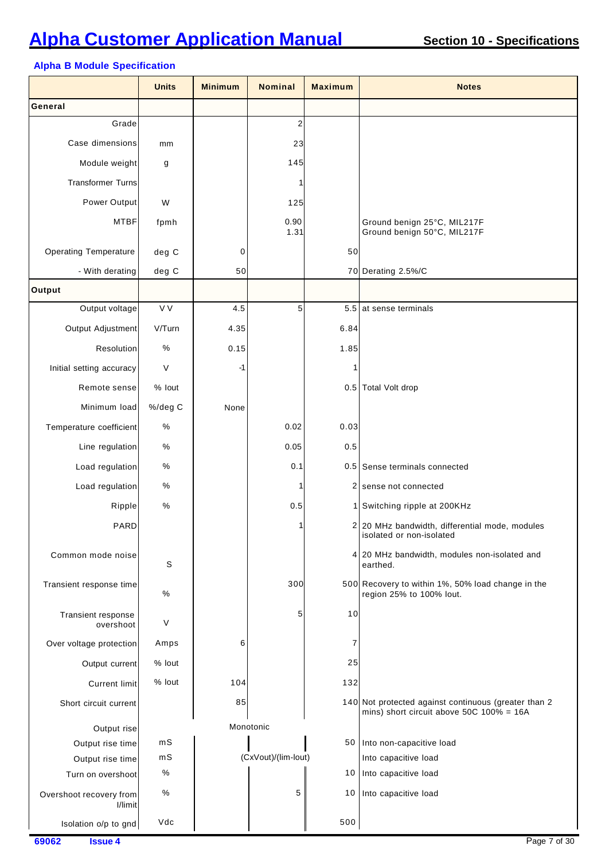### **Alpha B Module Specification**

|                                 | <b>Units</b> | <b>Minimum</b> | <b>Nominal</b>      | <b>Maximum</b> | <b>Notes</b>                                             |  |  |
|---------------------------------|--------------|----------------|---------------------|----------------|----------------------------------------------------------|--|--|
| General                         |              |                |                     |                |                                                          |  |  |
| Grade                           |              |                | 2                   |                |                                                          |  |  |
| Case dimensions                 | mm           |                | 23                  |                |                                                          |  |  |
| Module weight                   | g            |                | 145                 |                |                                                          |  |  |
| <b>Transformer Turns</b>        |              |                | 1                   |                |                                                          |  |  |
| Power Output                    | W            |                | 125                 |                |                                                          |  |  |
| <b>MTBF</b>                     | fpmh         |                | 0.90                |                | Ground benign 25°C, MIL217F                              |  |  |
|                                 |              |                | 1.31                |                | Ground benign 50°C, MIL217F                              |  |  |
| <b>Operating Temperature</b>    | deg C        | 0              |                     | 50             |                                                          |  |  |
| - With derating                 | deg C        | 50             |                     |                | 70 Derating 2.5%/C                                       |  |  |
| Output                          |              |                |                     |                |                                                          |  |  |
| Output voltage                  | V V          | 4.5            | 5                   |                | 5.5 at sense terminals                                   |  |  |
| Output Adjustment               | V/Turn       | 4.35           |                     | 6.84           |                                                          |  |  |
| Resolution                      | $\%$         | 0.15           |                     | 1.85           |                                                          |  |  |
| Initial setting accuracy        | V            | -1             |                     | 1              |                                                          |  |  |
| Remote sense                    | % lout       |                |                     |                | 0.5 Total Volt drop                                      |  |  |
| Minimum load                    | %/deg C      | None           |                     |                |                                                          |  |  |
| Temperature coefficient         | $\%$         |                | 0.02                | 0.03           |                                                          |  |  |
| Line regulation                 | $\%$         |                | 0.05                | 0.5            |                                                          |  |  |
| Load regulation                 | $\%$         |                | 0.1                 |                | 0.5 Sense terminals connected                            |  |  |
| Load regulation                 | $\%$         |                | 1                   |                | 2 sense not connected                                    |  |  |
| Ripple                          | $\%$         |                | 0.5                 |                | 1 Switching ripple at 200KHz                             |  |  |
| PARD                            |              |                |                     |                | 2 20 MHz bandwidth, differential mode, modules           |  |  |
|                                 |              |                |                     |                | isolated or non-isolated                                 |  |  |
| Common mode noise               | S            |                |                     |                | 4 20 MHz bandwidth, modules non-isolated and<br>earthed. |  |  |
| Transient response time         |              |                | 300                 |                | 500 Recovery to within 1%, 50% load change in the        |  |  |
|                                 | %            |                |                     |                | region 25% to 100% lout.                                 |  |  |
| Transient response<br>overshoot | V            |                | 5                   | 10             |                                                          |  |  |
| Over voltage protection         | Amps         | 6              |                     | 7              |                                                          |  |  |
| Output current                  | % lout       |                |                     | 25             |                                                          |  |  |
| <b>Current limit</b>            | % lout       | 104            |                     | 132            |                                                          |  |  |
| Short circuit current           |              | 85             |                     |                | 140 Not protected against continuous (greater than 2     |  |  |
| Output rise                     |              |                | Monotonic           |                | mins) short circuit above $50C$ $100\% = 16A$            |  |  |
| Output rise time                | mS           |                |                     |                | 50 Into non-capacitive load                              |  |  |
| Output rise time                | mS           |                | (CxVout)/(lim-lout) |                | Into capacitive load                                     |  |  |
| Turn on overshoot               | $\%$         |                |                     |                | 10 Into capacitive load                                  |  |  |
| Overshoot recovery from         | $\%$         |                | 5                   |                | 10 Into capacitive load                                  |  |  |
| I/limit                         |              |                |                     |                |                                                          |  |  |
| Isolation o/p to gnd            | Vdc          |                |                     | 500            |                                                          |  |  |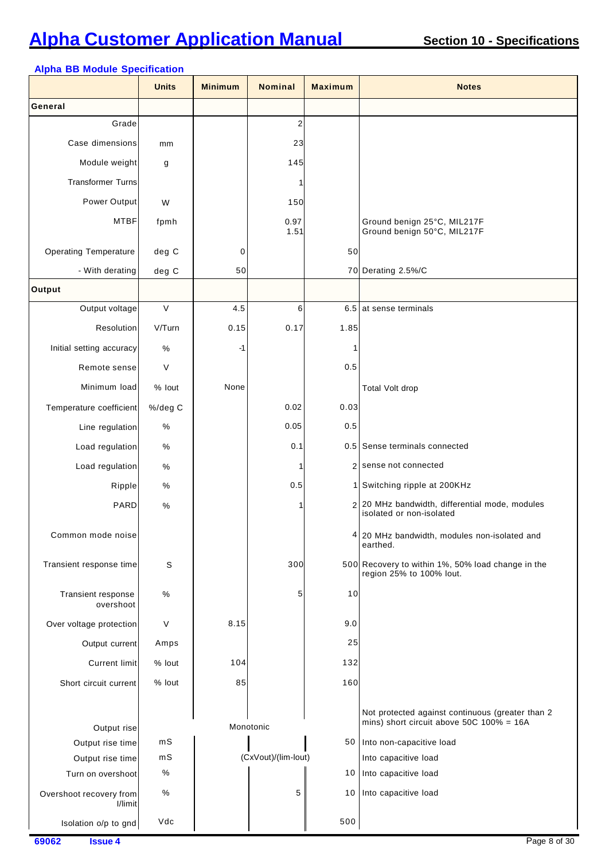### **Alpha BB Module Specification**

|                                    | <b>Units</b> | <b>Minimum</b> | <b>Nominal</b>      | <b>Maximum</b> | <b>Notes</b>                                                                  |  |  |
|------------------------------------|--------------|----------------|---------------------|----------------|-------------------------------------------------------------------------------|--|--|
| General                            |              |                |                     |                |                                                                               |  |  |
| Grade                              |              |                | $\overline{c}$      |                |                                                                               |  |  |
| Case dimensions                    | mm           |                | 23                  |                |                                                                               |  |  |
| Module weight                      | g            |                | 145                 |                |                                                                               |  |  |
| <b>Transformer Turns</b>           |              |                | 1                   |                |                                                                               |  |  |
| Power Output                       | W            |                | 150                 |                |                                                                               |  |  |
| <b>MTBF</b>                        | fpmh         |                | 0.97                |                | Ground benign 25°C, MIL217F                                                   |  |  |
|                                    |              |                | 1.51                |                | Ground benign 50°C, MIL217F                                                   |  |  |
| <b>Operating Temperature</b>       | deg C        | 0              |                     | 50             |                                                                               |  |  |
| - With derating                    | deg C        | 50             |                     |                | 70 Derating 2.5%/C                                                            |  |  |
| Output                             |              |                |                     |                |                                                                               |  |  |
| Output voltage                     | $\vee$       | 4.5            | 6                   | 6.5            | at sense terminals                                                            |  |  |
| Resolution                         | V/Turn       | 0.15           | 0.17                | 1.85           |                                                                               |  |  |
| Initial setting accuracy           | $\%$         | $-1$           |                     | 1              |                                                                               |  |  |
| Remote sense                       | V            |                |                     | 0.5            |                                                                               |  |  |
| Minimum load                       | % lout       | None           |                     |                | Total Volt drop                                                               |  |  |
| Temperature coefficient            | %/deg C      |                | 0.02                | 0.03           |                                                                               |  |  |
| Line regulation                    | $\%$         |                | 0.05                | 0.5            |                                                                               |  |  |
| Load regulation                    | %            |                | 0.1                 |                | 0.5 Sense terminals connected                                                 |  |  |
| Load regulation                    | $\%$         |                | 1                   | $\overline{2}$ | sense not connected                                                           |  |  |
| Ripple                             | $\%$         |                | 0.5                 |                | 1 Switching ripple at 200KHz                                                  |  |  |
| PARD                               | %            |                | 1                   | $\overline{2}$ | 20 MHz bandwidth, differential mode, modules<br>isolated or non-isolated      |  |  |
| Common mode noise                  |              |                |                     |                | 4 20 MHz bandwidth, modules non-isolated and<br>earthed.                      |  |  |
| Transient response time            | S            |                | 300                 |                | 500 Recovery to within 1%, 50% load change in the<br>region 25% to 100% lout. |  |  |
| Transient response<br>overshoot    | %            |                | 5                   | 10             |                                                                               |  |  |
| Over voltage protection            | V            | 8.15           |                     | 9.0            |                                                                               |  |  |
| Output current                     | Amps         |                |                     | 25             |                                                                               |  |  |
| <b>Current limit</b>               | % lout       | 104            |                     | 132            |                                                                               |  |  |
| Short circuit current              | % lout       | 85             |                     | 160            |                                                                               |  |  |
|                                    |              |                |                     |                | Not protected against continuous (greater than 2                              |  |  |
| Output rise                        |              |                | Monotonic           |                | mins) short circuit above $50C$ $100\% = 16A$                                 |  |  |
| Output rise time                   | mS           |                |                     | 50             | Into non-capacitive load                                                      |  |  |
| Output rise time                   | mS           |                | (CxVout)/(lim-lout) |                | Into capacitive load                                                          |  |  |
| Turn on overshoot                  | $\%$         |                |                     | 10             | Into capacitive load                                                          |  |  |
| Overshoot recovery from<br>I/limit | $\%$         |                | 5                   | 10             | Into capacitive load                                                          |  |  |
| Isolation o/p to gnd               | Vdc          |                |                     | 500            |                                                                               |  |  |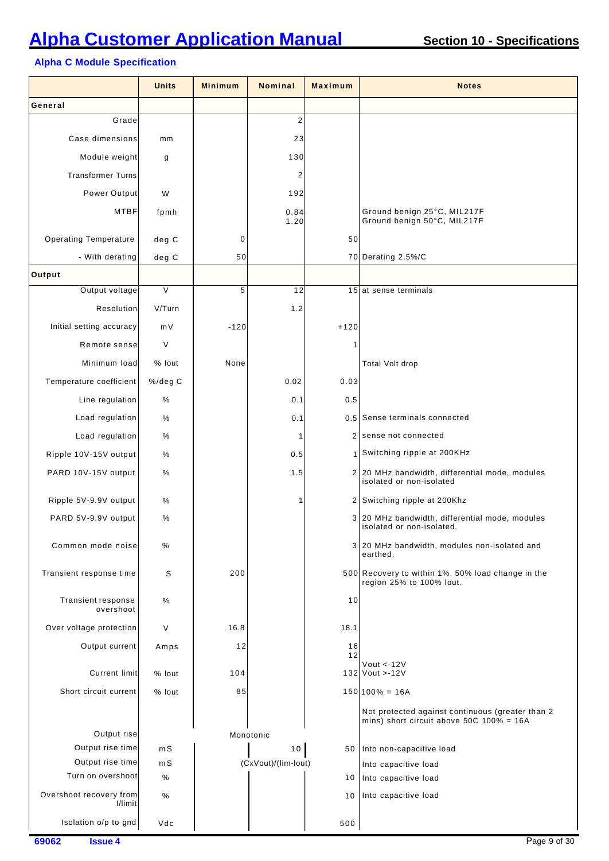### **Alpha C Module Specification**

|                                        | <b>Units</b>      | <b>Minimum</b> | Nominal             | <b>Maximum</b> | <b>Notes</b>                                                                                      |  |  |  |
|----------------------------------------|-------------------|----------------|---------------------|----------------|---------------------------------------------------------------------------------------------------|--|--|--|
| General                                |                   |                |                     |                |                                                                                                   |  |  |  |
| Grade                                  |                   |                | $\mathbf 2$         |                |                                                                                                   |  |  |  |
| Case dimensions                        | mm                |                | 23                  |                |                                                                                                   |  |  |  |
| Module weight                          | g                 |                | 130                 |                |                                                                                                   |  |  |  |
| <b>Transformer Turns</b>               |                   |                | 2                   |                |                                                                                                   |  |  |  |
| Power Output                           | W                 |                | 192                 |                |                                                                                                   |  |  |  |
| <b>MTBF</b>                            | fpmh              |                | 0.84                |                | Ground benign 25°C, MIL217F                                                                       |  |  |  |
|                                        |                   |                | 1.20                |                | Ground benign 50°C, MIL217F                                                                       |  |  |  |
| <b>Operating Temperature</b>           | deg C             | 0              |                     | 50             |                                                                                                   |  |  |  |
| - With derating                        | deg C             | 50             |                     |                | 70 Derating 2.5%/C                                                                                |  |  |  |
| Output                                 |                   |                |                     |                |                                                                                                   |  |  |  |
| Output voltage                         | $\overline{\vee}$ | $\overline{5}$ | 12                  |                | 15 at sense terminals                                                                             |  |  |  |
| Resolution                             | V/Turn            |                | 1.2                 |                |                                                                                                   |  |  |  |
| Initial setting accuracy               | mV                | $-120$         |                     | $+120$         |                                                                                                   |  |  |  |
| Remote sense                           | V                 |                |                     | 1              |                                                                                                   |  |  |  |
| Minimum load                           | % lout            | None           |                     |                | Total Volt drop                                                                                   |  |  |  |
| Temperature coefficient                | %/deg C           |                | 0.02                | 0.03           |                                                                                                   |  |  |  |
| Line regulation                        | %                 |                | 0.1                 | 0.5            |                                                                                                   |  |  |  |
| Load regulation                        | %                 |                | 0.1                 |                | 0.5 Sense terminals connected                                                                     |  |  |  |
| Load regulation                        | %                 |                | 1                   |                | 2 sense not connected                                                                             |  |  |  |
| Ripple 10V-15V output                  | %                 |                | 0.5                 |                | 1 Switching ripple at 200KHz                                                                      |  |  |  |
| PARD 10V-15V output                    | %                 |                | 1.5                 |                | 2 20 MHz bandwidth, differential mode, modules<br>isolated or non-isolated                        |  |  |  |
| Ripple 5V-9.9V output                  | %                 |                |                     |                | 2 Switching ripple at 200Khz                                                                      |  |  |  |
| PARD 5V-9.9V output                    | %                 |                |                     |                | 3 20 MHz bandwidth, differential mode, modules<br>isolated or non-isolated.                       |  |  |  |
| Common mode noise                      | %                 |                |                     |                | 3 20 MHz bandwidth, modules non-isolated and<br>earthed.                                          |  |  |  |
| Transient response time                | S                 | 200            |                     |                | 500 Recovery to within 1%, 50% load change in the<br>region 25% to 100% lout.                     |  |  |  |
| <b>Transient response</b><br>overshoot | %                 |                |                     | 10             |                                                                                                   |  |  |  |
| Over voltage protection                | V                 | 16.8           |                     | 18.1           |                                                                                                   |  |  |  |
| Output current                         | Amps              | 12             |                     | 16<br>12       |                                                                                                   |  |  |  |
| <b>Current limit</b>                   | % lout            | 104            |                     |                | Vout $<$ -12V<br>132 Vout >-12V                                                                   |  |  |  |
| Short circuit current                  | % lout            | 85             |                     |                | $150$ 100% = 16A                                                                                  |  |  |  |
|                                        |                   |                |                     |                | Not protected against continuous (greater than 2<br>mins) short circuit above $50C$ $100\% = 16A$ |  |  |  |
| Output rise                            |                   |                | Monotonic           |                |                                                                                                   |  |  |  |
| Output rise time                       | mS                |                | 10                  | 50             | Into non-capacitive load                                                                          |  |  |  |
| Output rise time                       | mS                |                | (CxVout)/(lim-lout) |                | Into capacitive load                                                                              |  |  |  |
| Turn on overshoot                      | %                 |                |                     | 10             | Into capacitive load                                                                              |  |  |  |
| Overshoot recovery from<br>I/limit     | $\%$              |                |                     | 10             | Into capacitive load                                                                              |  |  |  |
| Isolation o/p to gnd                   | Vdc               |                |                     | 500            |                                                                                                   |  |  |  |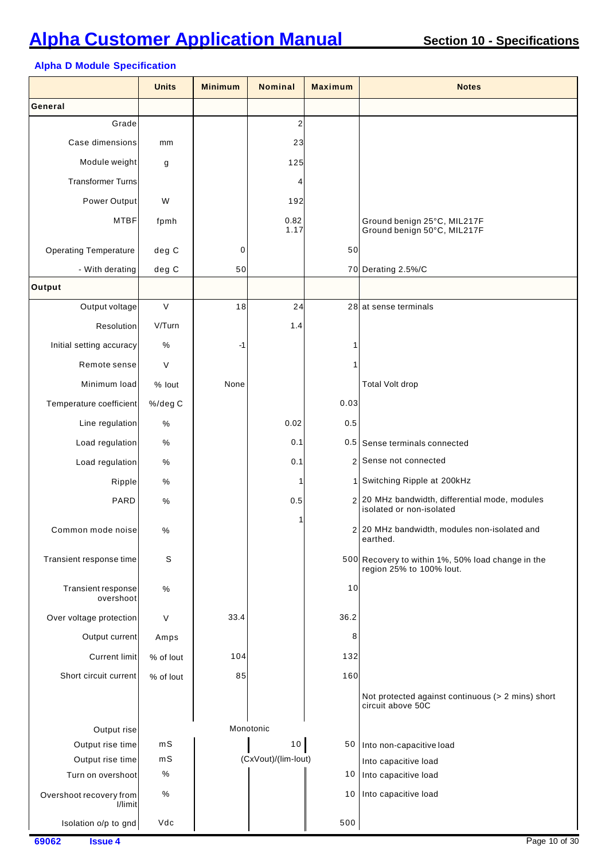### **Alpha D Module Specification**

|                                    | <b>Units</b> | <b>Minimum</b> | <b>Nominal</b>      | <b>Maximum</b> | <b>Notes</b>                                                                  |  |  |  |
|------------------------------------|--------------|----------------|---------------------|----------------|-------------------------------------------------------------------------------|--|--|--|
| General                            |              |                |                     |                |                                                                               |  |  |  |
| Grade                              |              |                | 2                   |                |                                                                               |  |  |  |
| Case dimensions                    | mm           |                | 23                  |                |                                                                               |  |  |  |
| Module weight                      | g            |                | 125                 |                |                                                                               |  |  |  |
| <b>Transformer Turns</b>           |              |                | 4                   |                |                                                                               |  |  |  |
| Power Output                       | W            |                | 192                 |                |                                                                               |  |  |  |
| <b>MTBF</b>                        | fpmh         |                | 0.82<br>1.17        |                | Ground benign 25°C, MIL217F<br>Ground benign 50°C, MIL217F                    |  |  |  |
| <b>Operating Temperature</b>       | deg C        | 0              |                     | 50             |                                                                               |  |  |  |
| - With derating                    | deg C        | 50             |                     |                | 70 Derating 2.5%/C                                                            |  |  |  |
| Output                             |              |                |                     |                |                                                                               |  |  |  |
| Output voltage                     | $\vee$       | 18             | 24                  |                | 28 at sense terminals                                                         |  |  |  |
| Resolution                         | V/Turn       |                | 1.4                 |                |                                                                               |  |  |  |
| Initial setting accuracy           | %            | $-1$           |                     | 1              |                                                                               |  |  |  |
| Remote sense                       | $\vee$       |                |                     | 1              |                                                                               |  |  |  |
| Minimum load                       | % lout       | None           |                     |                | <b>Total Volt drop</b>                                                        |  |  |  |
| Temperature coefficient            | %/deg C      |                |                     | 0.03           |                                                                               |  |  |  |
| Line regulation                    | $\%$         |                | 0.02                | 0.5            |                                                                               |  |  |  |
| Load regulation                    | %            |                | 0.1                 |                | 0.5 Sense terminals connected                                                 |  |  |  |
| Load regulation                    | $\%$         |                | 0.1                 |                | 2 Sense not connected                                                         |  |  |  |
| Ripple                             | $\%$         |                | 1                   |                | 1 Switching Ripple at 200kHz                                                  |  |  |  |
| PARD                               | %            |                | 0.5                 |                | 2 20 MHz bandwidth, differential mode, modules<br>isolated or non-isolated    |  |  |  |
| Common mode noise                  | %            |                |                     |                | 2 20 MHz bandwidth, modules non-isolated and<br>earthed.                      |  |  |  |
| Transient response time            | S            |                |                     |                | 500 Recovery to within 1%, 50% load change in the<br>region 25% to 100% lout. |  |  |  |
| Transient response<br>overshoot    | %            |                |                     | 10             |                                                                               |  |  |  |
| Over voltage protection            | $\vee$       | 33.4           |                     | 36.2           |                                                                               |  |  |  |
| Output current                     | Amps         |                |                     | 8              |                                                                               |  |  |  |
| <b>Current limit</b>               | % of lout    | 104            |                     | 132            |                                                                               |  |  |  |
| Short circuit current              | % of lout    | 85             |                     | 160            |                                                                               |  |  |  |
|                                    |              |                |                     |                | Not protected against continuous (> 2 mins) short<br>circuit above 50C        |  |  |  |
| Output rise                        |              |                | Monotonic           |                |                                                                               |  |  |  |
| Output rise time                   | mS           |                | 10                  |                | 50   Into non-capacitive load                                                 |  |  |  |
| Output rise time                   | mS           |                | (CxVout)/(lim-lout) |                | Into capacitive load                                                          |  |  |  |
| Turn on overshoot                  | $\%$         |                |                     |                | 10 Into capacitive load                                                       |  |  |  |
| Overshoot recovery from<br>I/limit | $\%$         |                |                     |                | 10 Into capacitive load                                                       |  |  |  |
| Isolation o/p to gnd               | Vdc          |                |                     | 500            |                                                                               |  |  |  |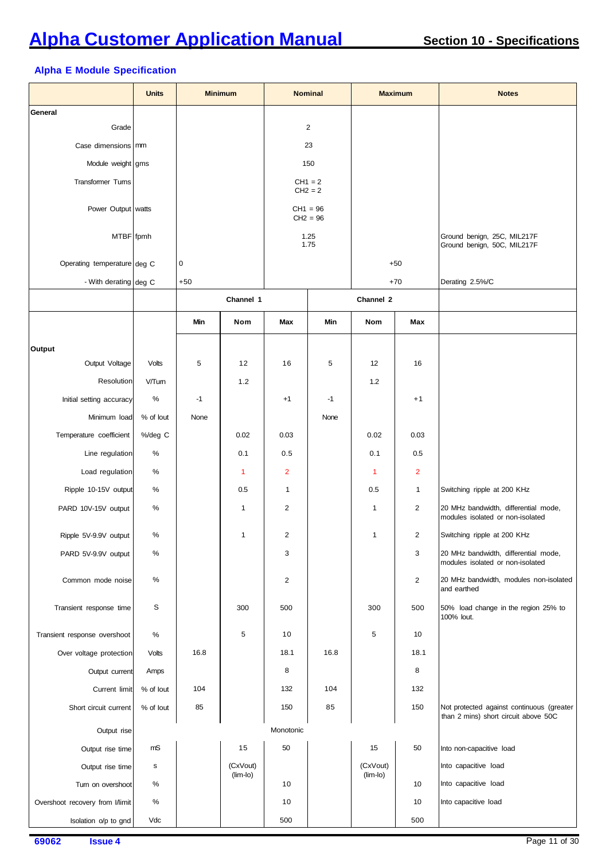#### **Alpha E Module Specification**

|                                 | <b>Units</b> | <b>Minimum</b> |                        | <b>Nominal</b>   |                          | <b>Maximum</b>         |                | <b>Notes</b>                                                                      |
|---------------------------------|--------------|----------------|------------------------|------------------|--------------------------|------------------------|----------------|-----------------------------------------------------------------------------------|
| General                         |              |                |                        |                  |                          |                        |                |                                                                                   |
| Grade                           |              |                |                        |                  | $\overline{2}$           |                        |                |                                                                                   |
| Case dimensions mm              |              |                |                        |                  | 23                       |                        |                |                                                                                   |
| Module weight gms               |              |                |                        | 150              |                          |                        |                |                                                                                   |
| Transformer Turns               |              |                |                        |                  | $CH1 = 2$<br>$CH2 = 2$   |                        |                |                                                                                   |
| Power Output watts              |              |                |                        |                  | $CH1 = 96$<br>$CH2 = 96$ |                        |                |                                                                                   |
| MTBF fpmh                       |              |                |                        |                  | 1.25<br>1.75             |                        |                | Ground benign, 25C, MIL217F<br>Ground benign, 50C, MIL217F                        |
| Operating temperature deg C     |              | 0              |                        |                  |                          |                        | $+50$          |                                                                                   |
| - With derating deg C           |              | $+50$          |                        |                  |                          |                        | $+70$          | Derating 2.5%/C                                                                   |
|                                 |              |                | Channel 1              |                  |                          | Channel 2              |                |                                                                                   |
|                                 |              | Min            | Nom                    | <b>Max</b>       | Min                      | Nom                    | Max            |                                                                                   |
| Output                          |              |                |                        |                  |                          |                        |                |                                                                                   |
| Output Voltage                  | Volts        | 5              | 12                     | 16               | 5                        | 12                     | 16             |                                                                                   |
| Resolution                      | V/Tum        |                | 1.2                    |                  |                          | 1.2                    |                |                                                                                   |
| Initial setting accuracy        | $\%$         | $-1$           |                        | $+1$             | $-1$                     |                        | $+1$           |                                                                                   |
| Minimum load                    | % of lout    | None           |                        |                  | None                     |                        |                |                                                                                   |
| Temperature coefficient         | %/deg C      |                | 0.02                   | 0.03             |                          | 0.02                   | 0.03           |                                                                                   |
| Line regulation                 | $\%$         |                | 0.1                    | 0.5              |                          | 0.1                    | 0.5            |                                                                                   |
| Load regulation                 | $\%$         |                | $\mathbf{1}$           | $\overline{2}$   |                          | $\mathbf{1}$           | $\overline{2}$ |                                                                                   |
| Ripple 10-15V output            | $\%$         |                | 0.5                    | $\mathbf{1}$     |                          | 0.5                    | $\mathbf{1}$   | Switching ripple at 200 KHz                                                       |
| PARD 10V-15V output             | %            |                | 1                      | $\boldsymbol{2}$ |                          | $\mathbf{1}$           | $\overline{2}$ | 20 MHz bandwidth, differential mode,<br>modules isolated or non-isolated          |
| Ripple 5V-9.9V output           | %            |                | 1                      | $\overline{2}$   |                          | $\mathbf{1}$           | 2              | Switching ripple at 200 KHz                                                       |
| PARD 5V-9.9V output             | %            |                |                        | 3                |                          |                        | 3              | 20 MHz bandwidth, differential mode,<br>modules isolated or non-isolated          |
| Common mode noise               | $\%$         |                |                        | $\sqrt{2}$       |                          |                        | $\overline{2}$ | 20 MHz bandwidth, modules non-isolated<br>and earthed                             |
| Transient response time         | S            |                | 300                    | 500              |                          | 300                    | 500            | 50% load change in the region 25% to<br>100% lout.                                |
| Transient response overshoot    | $\%$         |                | 5                      | 10               |                          | 5                      | 10             |                                                                                   |
| Over voltage protection         | Volts        | 16.8           |                        | 18.1             | 16.8                     |                        | 18.1           |                                                                                   |
| Output current                  | Amps         |                |                        | 8                |                          |                        | 8              |                                                                                   |
| Current limit                   | % of lout    | 104            |                        | 132              | 104                      |                        | 132            |                                                                                   |
| Short circuit current           | % of lout    | 85             |                        | 150              | 85                       |                        | 150            | Not protected against continuous (greater<br>than 2 mins) short circuit above 50C |
| Output rise                     |              |                |                        | Monotonic        |                          |                        |                |                                                                                   |
| Output rise time                | mS           |                | 15                     | 50               |                          | 15                     | 50             | Into non-capacitive load                                                          |
| Output rise time                | s            |                | (CxVout)<br>$(lim-lo)$ |                  |                          | (CxVout)<br>$(lim-lo)$ |                | Into capacitive load                                                              |
| Tum on overshoot                | $\%$         |                |                        | 10               |                          |                        | 10             | Into capacitive load                                                              |
| Overshoot recovery from I/limit | $\%$         |                |                        | 10               |                          |                        | 10             | Into capacitive load                                                              |
| Isolation o/p to gnd            | Vdc          |                |                        | 500              |                          |                        | 500            |                                                                                   |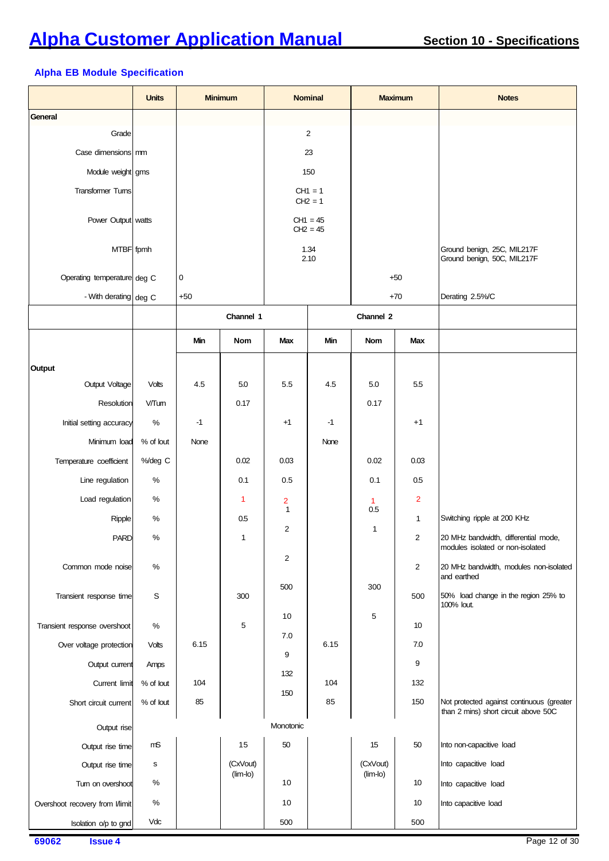#### **Alpha EB Module Specification**

|                               | <b>Units</b> | <b>Minimum</b> |                        | <b>Nominal</b>                 |                          | <b>Maximum</b>         |                 | <b>Notes</b>                                                             |
|-------------------------------|--------------|----------------|------------------------|--------------------------------|--------------------------|------------------------|-----------------|--------------------------------------------------------------------------|
| General                       |              |                |                        |                                |                          |                        |                 |                                                                          |
| Grade                         |              |                |                        |                                | $\overline{2}$           |                        |                 |                                                                          |
| Case dimensions mm            |              |                |                        |                                | 23                       |                        |                 |                                                                          |
| Module weight gms             |              |                |                        |                                | 150                      |                        |                 |                                                                          |
| Transformer Turns             |              |                |                        |                                | $CH1 = 1$                |                        |                 |                                                                          |
|                               |              |                |                        |                                | $CH2 = 1$                |                        |                 |                                                                          |
| Power Output watts            |              |                |                        |                                | $CH1 = 45$<br>$CH2 = 45$ |                        |                 |                                                                          |
| MTBF fpmh                     |              |                |                        |                                | 1.34                     |                        |                 | Ground benign, 25C, MIL217F                                              |
|                               |              |                |                        |                                | 2.10                     |                        |                 | Ground benign, 50C, MIL217F                                              |
| Operating temperature deg C   |              | 0              |                        |                                |                          |                        | $+50$           |                                                                          |
| - With derating deg C         |              | $+50$          |                        |                                |                          |                        | $+70$           | Derating 2.5%/C                                                          |
|                               |              |                | Channel 1              |                                |                          | Channel 2              |                 |                                                                          |
|                               |              | Min            | Nom                    | Max                            | Min                      | Nom                    | Max             |                                                                          |
| Output                        |              |                |                        |                                |                          |                        |                 |                                                                          |
| Output Voltage                | <b>Volts</b> | 4.5            | 5.0                    | 5.5                            | 4.5                      | 5.0                    | 5.5             |                                                                          |
| Resolution                    | V/Tum        |                | 0.17                   |                                |                          | 0.17                   |                 |                                                                          |
| Initial setting accuracy      | $\%$         | $-1$           |                        | $+1$                           | $-1$                     |                        | $+1$            |                                                                          |
| Minimum load                  | % of lout    | None           |                        |                                | None                     |                        |                 |                                                                          |
| Temperature coefficient       | %/deg C      |                | 0.02                   | 0.03                           |                          | 0.02                   | 0.03            |                                                                          |
| Line regulation               | $\%$         |                | 0.1                    | 0.5                            |                          | 0.1                    | $0.5\,$         |                                                                          |
|                               |              |                |                        |                                |                          |                        |                 |                                                                          |
| Load regulation               | $\%$         |                | $\mathbf{1}$           | $\overline{2}$<br>$\mathbf{1}$ |                          | $\mathbf{1}$<br>0.5    | $\overline{2}$  |                                                                          |
| Ripple                        | $\%$         |                | 0.5                    | $\overline{c}$                 |                          | $\mathbf{1}$           | $\mathbf{1}$    | Switching ripple at 200 KHz                                              |
| <b>PARD</b>                   | $\%$         |                | $\mathbf{1}$           |                                |                          |                        | 2               | 20 MHz bandwidth, differential mode,<br>modules isolated or non-isolated |
| Common mode noise             | $\%$         |                |                        | $\overline{c}$                 |                          |                        | $\mathbf{2}$    | 20 MHz bandwidth, modules non-isolated                                   |
|                               |              |                |                        | 500                            |                          | 300                    |                 | and earthed                                                              |
| Transient response time       | S            |                | 300                    |                                |                          |                        | 500             | 50% load change in the region 25% to<br>100% lout.                       |
| Transient response overshoot  | $\%$         |                | 5                      | 10                             |                          | 5                      | 10              |                                                                          |
| Over voltage protection       | <b>Volts</b> | 6.15           |                        | 7.0                            | 6.15                     |                        | 7.0             |                                                                          |
| Output current                | Amps         |                |                        | 9                              |                          |                        | 9               |                                                                          |
| Current limit                 | % of lout    | 104            |                        | 132                            | 104                      |                        | 132             |                                                                          |
| Short circuit current         | % of lout    | 85             |                        | 150                            | 85                       |                        | 150             | Not protected against continuous (greater                                |
|                               |              |                |                        |                                |                          |                        |                 | than 2 mins) short circuit above 50C                                     |
| Output rise                   |              |                |                        | Monotonic                      |                          |                        |                 |                                                                          |
| Output rise time              | mS           |                | 15                     | 50                             |                          | 15                     | 50              | Into non-capacitive load                                                 |
| Output rise time              | s            |                | (CxVout)<br>$(lim-lo)$ |                                |                          | (CxVout)<br>$(lim-lo)$ |                 | Into capacitive load                                                     |
| Tum on overshoot              | $\%$         |                |                        | 10                             |                          |                        | 10              | Into capacitive load                                                     |
| Overshoot recovery from Mimit | $\%$         |                |                        | 10                             |                          |                        | 10 <sup>°</sup> | Into capacitive load                                                     |
| Isolation o/p to gnd          | Vdc          |                |                        | 500                            |                          |                        | 500             |                                                                          |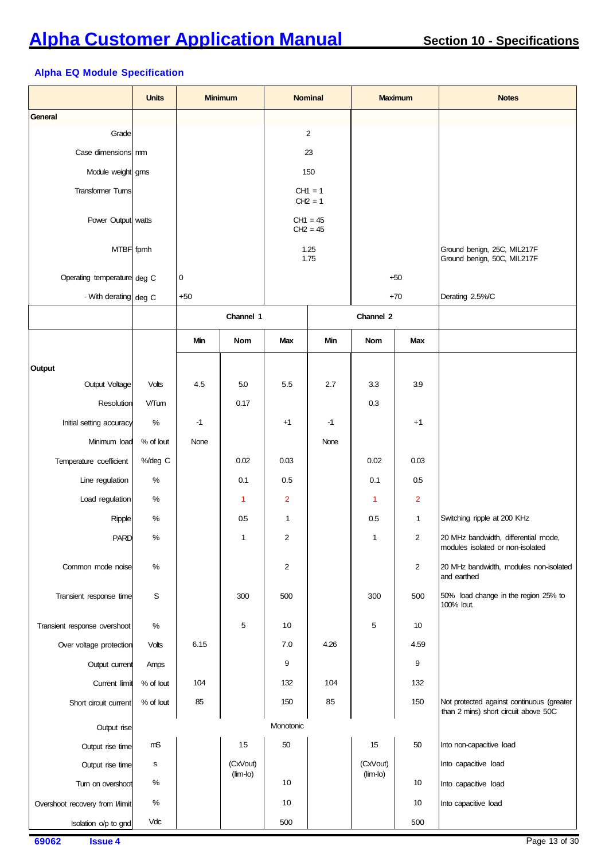#### **Alpha EQ Module Specification**

|                               | <b>Units</b> |       | <b>Minimum</b>         | <b>Nominal</b> |                        | <b>Maximum</b>         |                 | <b>Notes</b>                                                             |
|-------------------------------|--------------|-------|------------------------|----------------|------------------------|------------------------|-----------------|--------------------------------------------------------------------------|
| General                       |              |       |                        |                |                        |                        |                 |                                                                          |
| Grade                         |              |       |                        |                | $\overline{2}$         |                        |                 |                                                                          |
| Case dimensions mm            |              |       |                        |                | 23                     |                        |                 |                                                                          |
| Module weight gms             |              |       |                        |                | 150                    |                        |                 |                                                                          |
| <b>Transformer Turns</b>      |              |       |                        |                | $CH1 = 1$<br>$CH2 = 1$ |                        |                 |                                                                          |
|                               |              |       |                        |                | $CH1 = 45$             |                        |                 |                                                                          |
| Power Output watts            |              |       |                        |                | $CH2 = 45$             |                        |                 |                                                                          |
| MTBF fpmh                     |              |       |                        |                | 1.25<br>1.75           |                        |                 | Ground benign, 25C, MIL217F<br>Ground benign, 50C, MIL217F               |
| Operating temperature deg C   |              | 0     |                        |                |                        |                        | $+50$           |                                                                          |
| - With derating deg C         |              | $+50$ |                        |                |                        |                        | $+70$           | Derating 2.5%/C                                                          |
|                               |              |       | Channel 1              |                |                        | Channel 2              |                 |                                                                          |
|                               |              | Min   | Nom                    | Max            | Min                    | Nom                    | <b>Max</b>      |                                                                          |
|                               |              |       |                        |                |                        |                        |                 |                                                                          |
| Output                        |              |       |                        |                |                        |                        |                 |                                                                          |
| Output Voltage                | <b>Volts</b> | 4.5   | 5.0                    | 5.5            | 2.7                    | 3.3                    | 3.9             |                                                                          |
| Resolution                    | V/Tum        |       | 0.17                   |                |                        | 0.3                    |                 |                                                                          |
| Initial setting accuracy      | $\%$         | $-1$  |                        | $+1$           | $-1$                   |                        | $+1$            |                                                                          |
| Minimum load                  | % of lout    | None  |                        |                | None                   |                        |                 |                                                                          |
| Temperature coefficient       | %/deg C      |       | 0.02                   | 0.03           |                        | 0.02                   | 0.03            |                                                                          |
| Line regulation               | $\%$         |       | 0.1                    | 0.5            |                        | 0.1                    | $0.5\,$         |                                                                          |
| Load regulation               | $\%$         |       | $\mathbf{1}$           | $\overline{2}$ |                        | $\mathbf{1}$           | $\overline{2}$  |                                                                          |
| Ripple                        | $\%$         |       | 0.5                    | $\mathbf 1$    |                        | 0.5                    | $\mathbf{1}$    | Switching ripple at 200 KHz                                              |
| <b>PARD</b>                   | $\%$         |       | $\mathbf{1}$           | $\overline{2}$ |                        | $\mathbf{1}$           | $\overline{2}$  | 20 MHz bandwidth, differential mode,<br>modules isolated or non-isolated |
| Common mode noise             | $\%$         |       |                        | $\overline{c}$ |                        |                        | $\overline{2}$  | 20 MHz bandwidth, modules non-isolated<br>and earthed                    |
| Transient response time       | S            |       | 300                    | 500            |                        | 300                    | 500             | 50% load change in the region 25% to<br>100% lout.                       |
| Transient response overshoot  | $\%$         |       | 5                      | 10             |                        | 5                      | 10              |                                                                          |
| Over voltage protection       | <b>Volts</b> | 6.15  |                        | 7.0            | 4.26                   |                        | 4.59            |                                                                          |
| Output current                | Amps         |       |                        | 9              |                        |                        | 9               |                                                                          |
| Current limit                 | % of lout    | 104   |                        | 132            | 104                    |                        | 132             |                                                                          |
| Short circuit current         | % of lout    | 85    |                        | 150            | 85                     |                        | 150             | Not protected against continuous (greater                                |
|                               |              |       |                        | Monotonic      |                        |                        |                 | than 2 mins) short circuit above 50C                                     |
| Output rise                   |              |       | 15                     | 50             |                        | 15                     | 50              |                                                                          |
| Output rise time              | mS           |       |                        |                |                        |                        |                 | Into non-capacitive load                                                 |
| Output rise time              | s            |       | (CxVout)<br>$(lim-lo)$ |                |                        | (CxVout)<br>$(lim-lo)$ |                 | Into capacitive load                                                     |
| Turn on overshoot             | $\%$         |       |                        | 10             |                        |                        | 10              | Into capacitive load                                                     |
| Overshoot recovery from Mimit | $\%$         |       |                        | 10             |                        |                        | 10 <sup>°</sup> | Into capacitive load                                                     |
| Isolation o/p to gnd          | Vdc          |       |                        | 500            |                        |                        | 500             |                                                                          |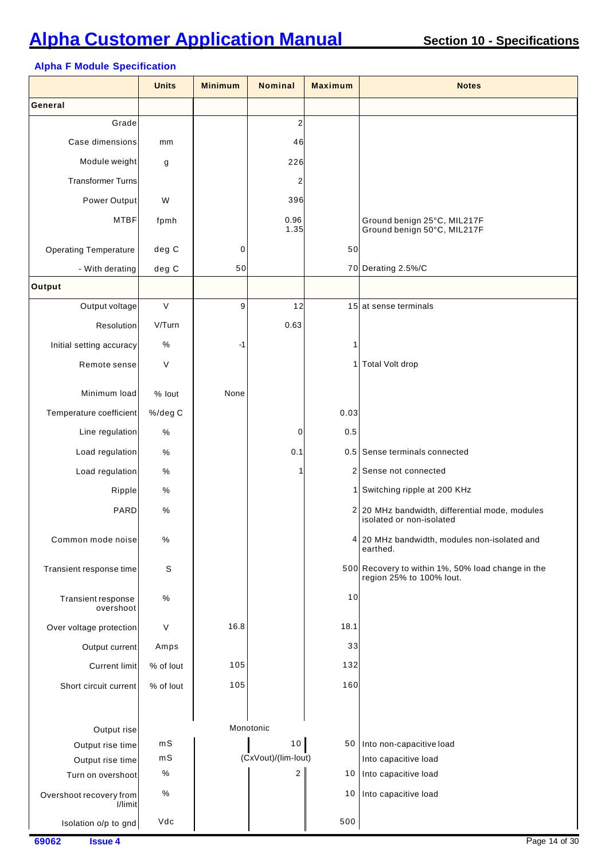#### **Alpha F Module Specification**

|                                 | <b>Units</b> | <b>Minimum</b> | <b>Nominal</b>          | <b>Maximum</b> | <b>Notes</b>                                                                  |
|---------------------------------|--------------|----------------|-------------------------|----------------|-------------------------------------------------------------------------------|
| General                         |              |                |                         |                |                                                                               |
| Grade                           |              |                | $\overline{\mathbf{c}}$ |                |                                                                               |
| Case dimensions                 | mm           |                | 46                      |                |                                                                               |
| Module weight                   | g            |                | 226                     |                |                                                                               |
| <b>Transformer Turns</b>        |              |                | 2                       |                |                                                                               |
| Power Output                    | W            |                | 396                     |                |                                                                               |
| <b>MTBF</b>                     | fpmh         |                | 0.96<br>1.35            |                | Ground benign 25°C, MIL217F<br>Ground benign 50°C, MIL217F                    |
| <b>Operating Temperature</b>    | deg C        | 0              |                         | 50             |                                                                               |
| - With derating                 | deg C        | 50             |                         |                | 70 Derating 2.5%/C                                                            |
| Output                          |              |                |                         |                |                                                                               |
| Output voltage                  | $\vee$       | 9              | 12                      |                | 15 at sense terminals                                                         |
| Resolution                      | V/Turn       |                | 0.63                    |                |                                                                               |
| Initial setting accuracy        | %            | $-1$           |                         | 1              |                                                                               |
| Remote sense                    | V            |                |                         |                | 1 Total Volt drop                                                             |
|                                 |              |                |                         |                |                                                                               |
| Minimum load                    | % lout       | None           |                         |                |                                                                               |
| Temperature coefficient         | %/deg C      |                |                         | 0.03           |                                                                               |
| Line regulation                 | $\%$         |                | 0                       | 0.5            |                                                                               |
| Load regulation                 | %            |                | 0.1                     |                | 0.5 Sense terminals connected                                                 |
| Load regulation                 | $\%$         |                |                         |                | 2 Sense not connected                                                         |
| Ripple                          | %            |                |                         |                | 1 Switching ripple at 200 KHz                                                 |
| PARD                            | %            |                |                         |                | 2 20 MHz bandwidth, differential mode, modules<br>isolated or non-isolated    |
| Common mode noise               | %            |                |                         |                | 4 20 MHz bandwidth, modules non-isolated and<br>earthed.                      |
| Transient response time         | $\mathbf S$  |                |                         |                | 500 Recovery to within 1%, 50% load change in the<br>region 25% to 100% lout. |
| Transient response<br>overshoot | $\%$         |                |                         | 10             |                                                                               |
| Over voltage protection         | V            | 16.8           |                         | 18.1           |                                                                               |
| Output current                  | Amps         |                |                         | 33             |                                                                               |
| <b>Current limit</b>            | % of lout    | 105            |                         | 132            |                                                                               |
| Short circuit current           | % of lout    | 105            |                         | 160            |                                                                               |
|                                 |              |                |                         |                |                                                                               |
| Output rise                     |              |                | Monotonic               |                |                                                                               |
| Output rise time                | mS           |                | 10                      | 50             | Into non-capacitive load                                                      |
| Output rise time                | mS           |                | (CxVout)/(lim-lout)     |                | Into capacitive load                                                          |
| Turn on overshoot               | $\%$         |                | $\overline{\mathbf{c}}$ | 10             | Into capacitive load                                                          |
| Overshoot recovery from         | $\%$         |                |                         | 10             | Into capacitive load                                                          |
| I/limit                         |              |                |                         |                |                                                                               |
| Isolation o/p to gnd            | Vdc          |                |                         | 500            |                                                                               |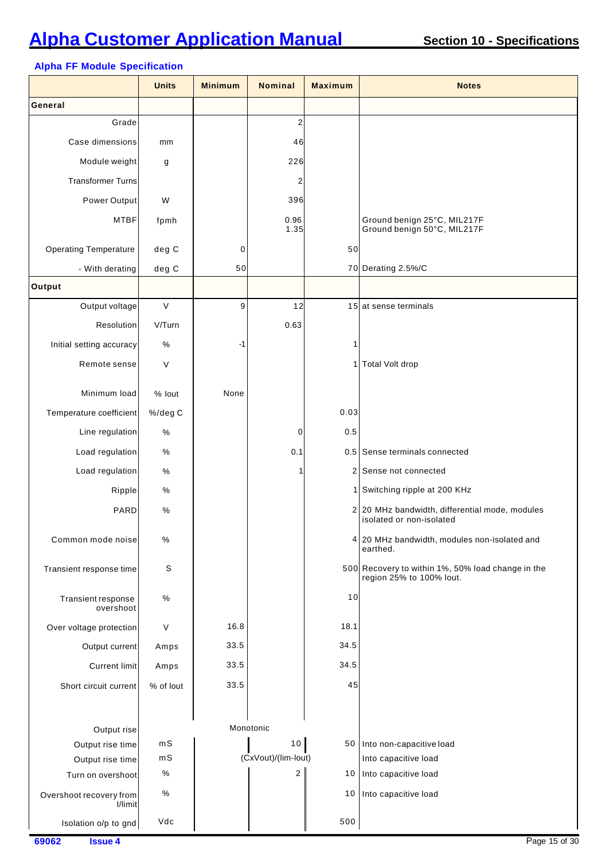#### **Alpha FF Module Specification**

|                                 | <b>Units</b> | <b>Minimum</b> | <b>Nominal</b>      | <b>Maximum</b> | <b>Notes</b>                                                                  |
|---------------------------------|--------------|----------------|---------------------|----------------|-------------------------------------------------------------------------------|
| General                         |              |                |                     |                |                                                                               |
| Grade                           |              |                | $\overline{c}$      |                |                                                                               |
| Case dimensions                 | mm           |                | 46                  |                |                                                                               |
| Module weight                   | g            |                | 226                 |                |                                                                               |
| <b>Transformer Turns</b>        |              |                | $\overline{2}$      |                |                                                                               |
| Power Output                    | W            |                | 396                 |                |                                                                               |
| <b>MTBF</b>                     | fpmh         |                | 0.96<br>1.35        |                | Ground benign 25°C, MIL217F<br>Ground benign 50°C, MIL217F                    |
| <b>Operating Temperature</b>    | deg C        | 0              |                     | 50             |                                                                               |
| - With derating                 | deg C        | 50             |                     |                | 70 Derating 2.5%/C                                                            |
| Output                          |              |                |                     |                |                                                                               |
| Output voltage                  | $\vee$       | 9              | 12                  |                | 15 at sense terminals                                                         |
| Resolution                      | V/Turn       |                | 0.63                |                |                                                                               |
| Initial setting accuracy        | %            | $-1$           |                     | 1              |                                                                               |
| Remote sense                    | V            |                |                     | 1              | Total Volt drop                                                               |
|                                 |              |                |                     |                |                                                                               |
| Minimum load                    | % lout       | None           |                     |                |                                                                               |
| Temperature coefficient         | %/deg C      |                |                     | 0.03           |                                                                               |
| Line regulation                 | %            |                | $\mathbf 0$         | 0.5            |                                                                               |
| Load regulation                 | %            |                | 0.1                 |                | 0.5 Sense terminals connected                                                 |
| Load regulation                 | $\%$         |                |                     |                | 2 Sense not connected                                                         |
| Ripple                          | %            |                |                     |                | 1 Switching ripple at 200 KHz                                                 |
| PARD                            | %            |                |                     |                | 2 20 MHz bandwidth, differential mode, modules<br>isolated or non-isolated    |
| Common mode noise               | $\%$         |                |                     |                | 4 20 MHz bandwidth, modules non-isolated and<br>earthed.                      |
| Transient response time         | $\mathsf S$  |                |                     |                | 500 Recovery to within 1%, 50% load change in the<br>region 25% to 100% lout. |
| Transient response<br>overshoot | $\%$         |                |                     | 10             |                                                                               |
| Over voltage protection         | V            | 16.8           |                     | 18.1           |                                                                               |
| Output current                  | Amps         | 33.5           |                     | 34.5           |                                                                               |
| <b>Current limit</b>            | Amps         | 33.5           |                     | 34.5           |                                                                               |
| Short circuit current           | % of lout    | 33.5           |                     | 45             |                                                                               |
|                                 |              |                |                     |                |                                                                               |
| Output rise                     |              |                | Monotonic           |                |                                                                               |
| Output rise time                | mS           |                | 10                  | 50             | Into non-capacitive load                                                      |
| Output rise time                | mS           |                | (CxVout)/(lim-lout) |                | Into capacitive load                                                          |
| Turn on overshoot               | $\%$         |                | 2                   | 10             | Into capacitive load                                                          |
| Overshoot recovery from         | $\%$         |                |                     | 10             | Into capacitive load                                                          |
| I/limit                         |              |                |                     |                |                                                                               |
| Isolation o/p to gnd            | Vdc          |                |                     | 500            |                                                                               |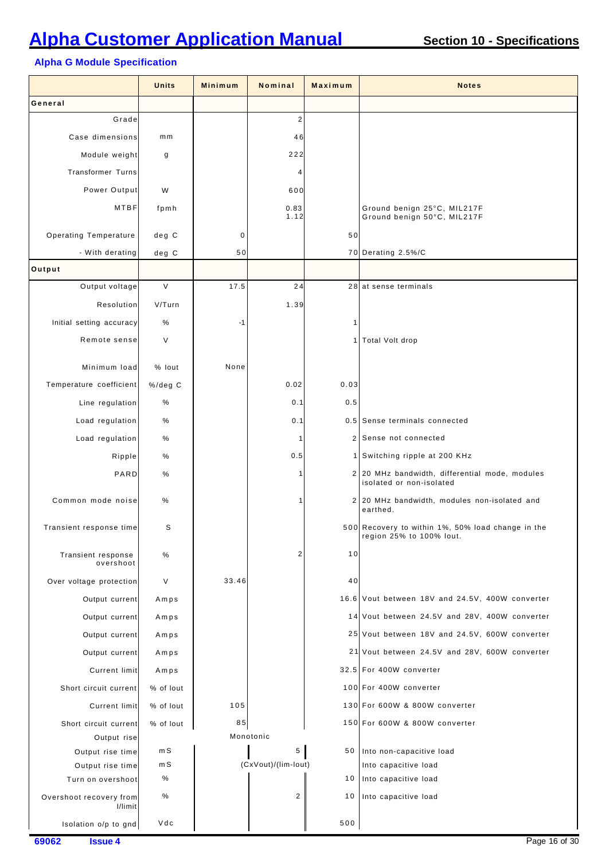### **Alpha G Module Specification**

|                                    | <b>Units</b> | <b>Minimum</b> | Nominal             | Maximum      | <b>Notes</b>                                                                  |  |
|------------------------------------|--------------|----------------|---------------------|--------------|-------------------------------------------------------------------------------|--|
| General                            |              |                |                     |              |                                                                               |  |
| Grade                              |              |                | $\overline{2}$      |              |                                                                               |  |
| Case dimensions                    | mm           |                | 46                  |              |                                                                               |  |
| Module weight                      | g            |                | 222                 |              |                                                                               |  |
| <b>Transformer Turns</b>           |              |                | $\overline{4}$      |              |                                                                               |  |
| Power Output                       | W            |                | 600                 |              |                                                                               |  |
| MTBF                               | fpmh         |                | 0.83                |              | Ground benign 25°C, MIL217F                                                   |  |
|                                    |              |                | 1.12                |              | Ground benign 50°C, MIL217F                                                   |  |
| <b>Operating Temperature</b>       | deg C        | 0              |                     | 50           |                                                                               |  |
| - With derating                    | deg C        | 50             |                     |              | 70 Derating 2.5%/C                                                            |  |
| Output                             |              |                |                     |              |                                                                               |  |
| Output voltage                     | V            | 17.5           | 24                  |              | 28 at sense terminals                                                         |  |
| Resolution                         | V/Turn       |                | 1.39                |              |                                                                               |  |
| Initial setting accuracy           | %            | $-1$           |                     | $\mathbf{1}$ |                                                                               |  |
| Remote sense                       | V            |                |                     |              | 1 Total Volt drop                                                             |  |
|                                    |              |                |                     |              |                                                                               |  |
| Minimum load                       | % lout       | None           |                     |              |                                                                               |  |
| Temperature coefficient            | %/deg C      |                | 0.02                | 0.03         |                                                                               |  |
| Line regulation                    | %            |                | 0.1                 | 0.5          |                                                                               |  |
| Load regulation                    | %            |                | 0.1                 |              | 0.5 Sense terminals connected                                                 |  |
| Load regulation                    | %            |                | 1                   |              | 2 Sense not connected                                                         |  |
| Ripple                             | %            |                | 0.5                 |              | 1 Switching ripple at 200 KHz                                                 |  |
| PARD                               | %            |                | 1                   |              | 2 20 MHz bandwidth, differential mode, modules<br>isolated or non-isolated    |  |
| Common mode noise                  | %            |                | 1                   |              | 2 20 MHz bandwidth, modules non-isolated and<br>earthed.                      |  |
| Transient response time            | S            |                |                     |              | 500 Recovery to within 1%, 50% load change in the<br>region 25% to 100% lout. |  |
| Transient response<br>overshoot    | %            |                | $\sqrt{2}$          | 10           |                                                                               |  |
| Over voltage protection            | V            | 33.46          |                     | 40           |                                                                               |  |
| Output current                     | Amps         |                |                     |              | 16.6 Vout between 18V and 24.5V, 400W converter                               |  |
| Output current                     | Amps         |                |                     |              | 14 Vout between 24.5V and 28V, 400W converter                                 |  |
| Output current                     | Amps         |                |                     |              | 25 Vout between 18V and 24.5V, 600W converter                                 |  |
| Output current                     | Amps         |                |                     |              | 21 Vout between 24.5V and 28V, 600W converter                                 |  |
| <b>Current limit</b>               | Amps         |                |                     |              | 32.5 For 400W converter                                                       |  |
| Short circuit current              | % of lout    |                |                     |              | 100 For 400W converter                                                        |  |
| <b>Current limit</b>               | % of lout    | 105            |                     |              | 130 For 600W & 800W converter                                                 |  |
| Short circuit current              | % of lout    | 85             |                     |              | 150 For 600W & 800W converter                                                 |  |
| Output rise                        |              |                | Monotonic           |              |                                                                               |  |
| Output rise time                   | m S          |                | 5 <sup>5</sup>      | 50           | Into non-capacitive load                                                      |  |
| Output rise time                   | m S          |                | (CxVout)/(lim-lout) |              | Into capacitive load                                                          |  |
| Turn on overshoot                  | %            |                |                     | 10           | Into capacitive load                                                          |  |
| Overshoot recovery from<br>I/limit | $\%$         |                | $\overline{2}$      | 10           | Into capacitive load                                                          |  |
| Isolation o/p to gnd               | Vdc          |                |                     | 500          |                                                                               |  |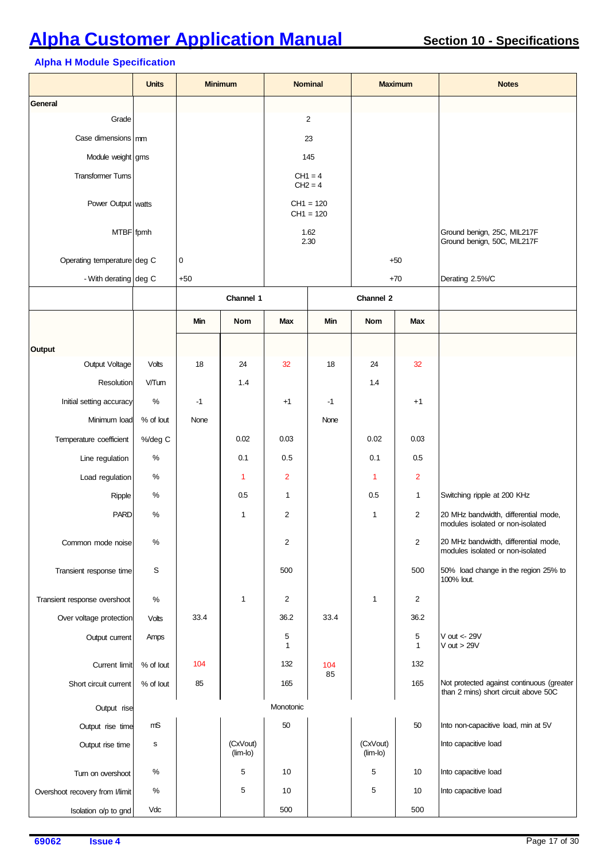### **Alpha H Module Specification**

|                                 | <b>Units</b> |             | <b>Minimum</b>       |                   | <b>Nominal</b>             | <b>Maximum</b>       |                   | <b>Notes</b>                                                                      |
|---------------------------------|--------------|-------------|----------------------|-------------------|----------------------------|----------------------|-------------------|-----------------------------------------------------------------------------------|
| General                         |              |             |                      |                   |                            |                      |                   |                                                                                   |
| Grade                           |              |             |                      |                   | $\overline{2}$             |                      |                   |                                                                                   |
| Case dimensions mm              |              |             |                      | 23                |                            |                      |                   |                                                                                   |
| Module weight gms               |              |             |                      | 145               |                            |                      |                   |                                                                                   |
| <b>Transformer Turns</b>        |              |             |                      |                   | $CH1 = 4$                  |                      |                   |                                                                                   |
|                                 |              |             |                      |                   | $CH2 = 4$                  |                      |                   |                                                                                   |
| Power Output watts              |              |             |                      |                   | $CH1 = 120$<br>$CH1 = 120$ |                      |                   |                                                                                   |
| MTBF fpmh                       |              |             |                      |                   | 1.62                       |                      |                   | Ground benign, 25C, MIL217F                                                       |
|                                 |              |             |                      |                   | 2.30                       |                      |                   | Ground benign, 50C, MIL217F                                                       |
| Operating temperature deg C     |              | $\mathbf 0$ |                      |                   |                            |                      | $+50$             |                                                                                   |
| - With derating deg C           |              | $+50$       |                      |                   |                            |                      | $+70$             | Derating 2.5%/C                                                                   |
|                                 |              |             | Channel 1            |                   |                            | <b>Channel 2</b>     |                   |                                                                                   |
|                                 |              | Min         | <b>Nom</b>           | Max               | Min                        | Nom                  | Max               |                                                                                   |
| Output                          |              |             |                      |                   |                            |                      |                   |                                                                                   |
| Output Voltage                  | <b>Volts</b> | 18          | 24                   | 32                | 18                         | 24                   | 32                |                                                                                   |
| Resolution                      | V/Tum        |             | 1.4                  |                   |                            | 1.4                  |                   |                                                                                   |
| Initial setting accuracy        | $\%$         | $-1$        |                      | $+1$              | $-1$                       |                      | $+1$              |                                                                                   |
| Minimum load                    | % of lout    | None        |                      |                   | None                       |                      |                   |                                                                                   |
| Temperature coefficient         | %/deg C      |             | 0.02                 | 0.03              |                            | 0.02                 | 0.03              |                                                                                   |
| Line regulation                 | $\%$         |             | 0.1                  | 0.5               |                            | 0.1                  | 0.5               |                                                                                   |
| Load regulation                 | $\%$         |             | $\overline{1}$       | $\overline{2}$    |                            | $\mathbf{1}$         | $\overline{2}$    |                                                                                   |
| Ripple                          | $\%$         |             | 0.5                  | $\mathbf{1}$      |                            | 0.5                  | $\mathbf{1}$      | Switching ripple at 200 KHz                                                       |
| <b>PARD</b>                     | %            |             | $\mathbf{1}$         | $\overline{c}$    |                            | 1                    | $\overline{2}$    | 20 MHz bandwidth, differential mode,                                              |
|                                 |              |             |                      |                   |                            |                      |                   | modules isolated or non-isolated                                                  |
| Common mode noise               | $\%$         |             |                      | $\overline{c}$    |                            |                      | $\overline{2}$    | 20 MHz bandwidth, differential mode,<br>modules isolated or non-isolated          |
| Transient response time         | S            |             |                      | 500               |                            |                      | 500               | 50% load change in the region 25% to<br>100% lout.                                |
| Transient response overshoot    | $\%$         |             | $\mathbf{1}$         | $\overline{2}$    |                            | $\mathbf{1}$         | $\overline{2}$    |                                                                                   |
| Over voltage protection         | Volts        | 33.4        |                      | 36.2              | 33.4                       |                      | 36.2              |                                                                                   |
| Output current                  | Amps         |             |                      | 5<br>$\mathbf{1}$ |                            |                      | 5<br>$\mathbf{1}$ | $V$ out $\lt$ - 29 $V$<br>$V$ out $> 29V$                                         |
| Current limit                   | % of lout    | 104         |                      | 132               | 104                        |                      | 132               |                                                                                   |
| Short circuit current           | % of lout    | 85          |                      | 165               | 85                         |                      | 165               | Not protected against continuous (greater<br>than 2 mins) short circuit above 50C |
| Output rise                     |              |             |                      | Monotonic         |                            |                      |                   |                                                                                   |
| Output rise time                | mS           |             |                      | 50                |                            |                      | 50                | Into non-capacitive load, min at 5V                                               |
| Output rise time                | $\mathbf S$  |             | (CxVout)<br>(lim-lo) |                   |                            | (CxVout)<br>(lim-lo) |                   | Into capacitive load                                                              |
| Tum on overshoot                | %            |             | 5                    | 10                |                            | 5                    | 10                | Into capacitive load                                                              |
| Overshoot recovery from I/limit | $\%$         |             | 5                    | 10                |                            | 5                    | 10                | Into capacitive load                                                              |
| Isolation o/p to gnd            | Vdc          |             |                      | 500               |                            |                      | 500               |                                                                                   |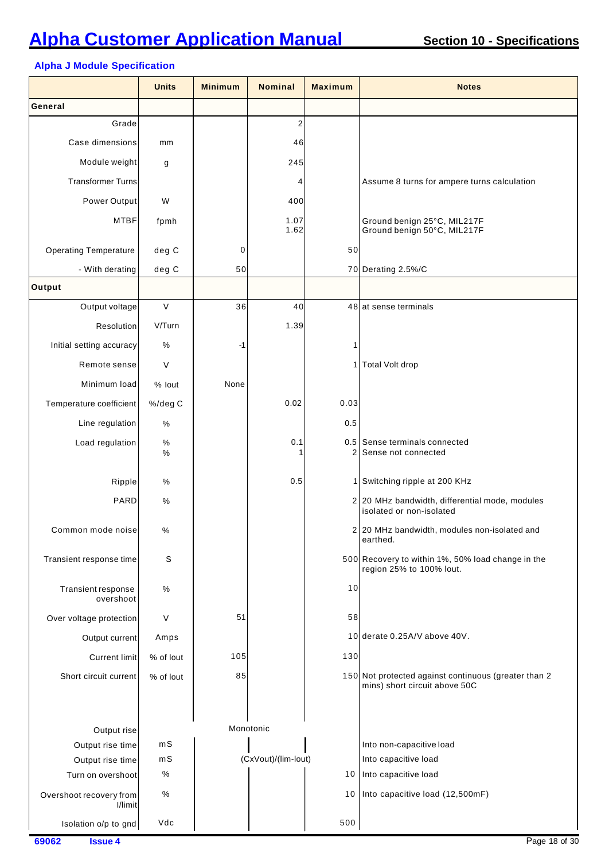### **Alpha J Module Specification**

|                                    | <b>Units</b> | <b>Minimum</b> | <b>Nominal</b>          | <b>Maximum</b> | <b>Notes</b>                                                                          |
|------------------------------------|--------------|----------------|-------------------------|----------------|---------------------------------------------------------------------------------------|
| General                            |              |                |                         |                |                                                                                       |
| Grade                              |              |                | $\overline{\mathbf{c}}$ |                |                                                                                       |
| Case dimensions                    | mm           |                | 46                      |                |                                                                                       |
| Module weight                      | g            |                | 245                     |                |                                                                                       |
| <b>Transformer Turns</b>           |              |                | 4                       |                | Assume 8 turns for ampere turns calculation                                           |
| Power Output                       | W            |                | 400                     |                |                                                                                       |
| <b>MTBF</b>                        | fpmh         |                | 1.07<br>1.62            |                | Ground benign 25°C, MIL217F<br>Ground benign 50°C, MIL217F                            |
| <b>Operating Temperature</b>       | deg C        | 0              |                         | 50             |                                                                                       |
| - With derating                    | deg C        | 50             |                         |                | 70 Derating 2.5%/C                                                                    |
| Output                             |              |                |                         |                |                                                                                       |
| Output voltage                     | $\vee$       | 36             | 40                      |                | 48 at sense terminals                                                                 |
| Resolution                         | V/Turn       |                | 1.39                    |                |                                                                                       |
| Initial setting accuracy           | %            | $-1$           |                         | 1              |                                                                                       |
| Remote sense                       | V            |                |                         |                | 1 Total Volt drop                                                                     |
| Minimum load                       | % lout       | None           |                         |                |                                                                                       |
| Temperature coefficient            | %/deg C      |                | 0.02                    | 0.03           |                                                                                       |
| Line regulation                    | $\%$         |                |                         | 0.5            |                                                                                       |
| Load regulation                    | $\%$<br>%    |                | 0.1                     |                | 0.5 Sense terminals connected<br>2 Sense not connected                                |
| Ripple                             | $\%$         |                | 0.5                     |                | 1 Switching ripple at 200 KHz                                                         |
| PARD                               | %            |                |                         |                | 2 20 MHz bandwidth, differential mode, modules<br>isolated or non-isolated            |
| Common mode noise                  | %            |                |                         |                | 2 20 MHz bandwidth, modules non-isolated and<br>earthed.                              |
| Transient response time            | S            |                |                         |                | 500 Recovery to within 1%, 50% load change in the<br>region 25% to 100% lout.         |
| Transient response<br>overshoot    | %            |                |                         | 10             |                                                                                       |
| Over voltage protection            | V            | 51             |                         | 58             |                                                                                       |
| Output current                     | Amps         |                |                         |                | 10 derate 0.25A/V above 40V.                                                          |
| <b>Current limit</b>               | % of lout    | 105            |                         | 130            |                                                                                       |
| Short circuit current              | % of lout    | 85             |                         |                | 150 Not protected against continuous (greater than 2<br>mins) short circuit above 50C |
| Output rise                        |              |                | Monotonic               |                |                                                                                       |
| Output rise time                   | mS           |                |                         |                | Into non-capacitive load                                                              |
| Output rise time                   | mS           |                | (CxVout)/(lim-lout)     |                | Into capacitive load                                                                  |
| Turn on overshoot                  | $\%$         |                |                         | 10             | Into capacitive load                                                                  |
| Overshoot recovery from<br>I/limit | $\%$         |                |                         | 10             | Into capacitive load (12,500mF)                                                       |
| Isolation o/p to gnd               | Vdc          |                |                         | 500            |                                                                                       |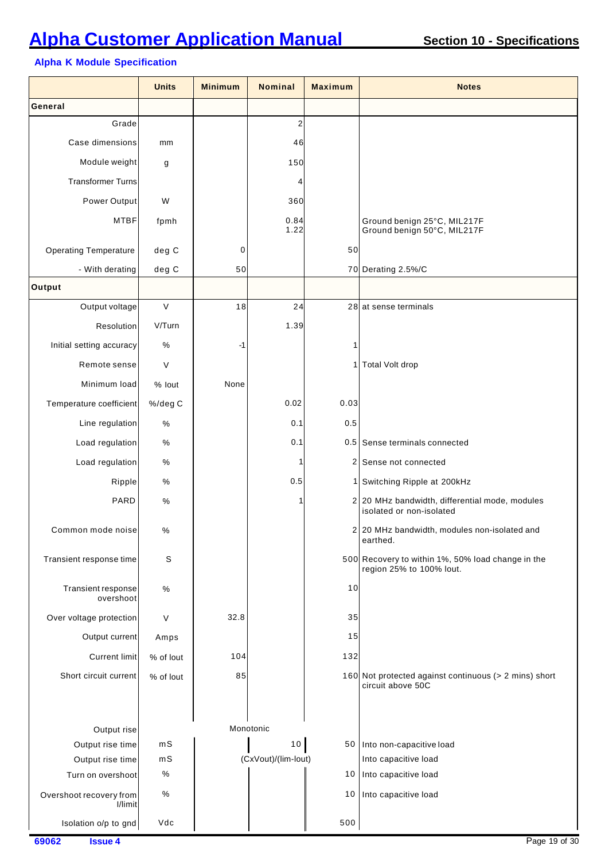### **Alpha K Module Specification**

|                                    | <b>Units</b> | <b>Minimum</b> | <b>Nominal</b>          | <b>Maximum</b> | <b>Notes</b>                                                                  |
|------------------------------------|--------------|----------------|-------------------------|----------------|-------------------------------------------------------------------------------|
| General                            |              |                |                         |                |                                                                               |
| Grade                              |              |                | $\overline{\mathbf{c}}$ |                |                                                                               |
| Case dimensions                    | mm           |                | 46                      |                |                                                                               |
| Module weight                      | g            |                | 150                     |                |                                                                               |
| <b>Transformer Turns</b>           |              |                | 4                       |                |                                                                               |
| Power Output                       | W            |                | 360                     |                |                                                                               |
| <b>MTBF</b>                        | fpmh         |                | 0.84<br>1.22            |                | Ground benign 25°C, MIL217F<br>Ground benign 50°C, MIL217F                    |
| <b>Operating Temperature</b>       | deg C        | 0              |                         | 50             |                                                                               |
| - With derating                    | deg C        | 50             |                         |                | 70 Derating 2.5%/C                                                            |
| Output                             |              |                |                         |                |                                                                               |
| Output voltage                     | $\vee$       | 18             | 24                      |                | 28 at sense terminals                                                         |
| Resolution                         | V/Turn       |                | 1.39                    |                |                                                                               |
| Initial setting accuracy           | $\%$         | $-1$           |                         | 1              |                                                                               |
| Remote sense                       | $\vee$       |                |                         | 1 <sup>1</sup> | <b>Total Volt drop</b>                                                        |
| Minimum load                       | % lout       | None           |                         |                |                                                                               |
| Temperature coefficient            | %/deg C      |                | 0.02                    | 0.03           |                                                                               |
| Line regulation                    | $\%$         |                | 0.1                     | 0.5            |                                                                               |
| Load regulation                    | $\%$         |                | 0.1                     |                | 0.5 Sense terminals connected                                                 |
| Load regulation                    | $\%$         |                |                         | 2 <sub>1</sub> | Sense not connected                                                           |
| Ripple                             | %            |                | 0.5                     |                | 1 Switching Ripple at 200kHz                                                  |
| PARD                               | %            |                |                         |                | 2 20 MHz bandwidth, differential mode, modules<br>isolated or non-isolated    |
| Common mode noise                  | %            |                |                         |                | 2 20 MHz bandwidth, modules non-isolated and<br>earthed.                      |
| Transient response time            | S            |                |                         |                | 500 Recovery to within 1%, 50% load change in the<br>region 25% to 100% lout. |
| Transient response<br>overshoot    | %            |                |                         | 10             |                                                                               |
| Over voltage protection            | V            | 32.8           |                         | 35             |                                                                               |
| Output current                     | Amps         |                |                         | 15             |                                                                               |
| <b>Current limit</b>               | % of lout    | 104            |                         | 132            |                                                                               |
| Short circuit current              | % of lout    | 85             |                         |                | 160 Not protected against continuous (> 2 mins) short<br>circuit above 50C    |
| Output rise                        |              |                | Monotonic               |                |                                                                               |
| Output rise time                   | mS           |                | 10                      | 50             | Into non-capacitive load                                                      |
| Output rise time                   | mS           |                | (CxVout)/(lim-lout)     |                | Into capacitive load                                                          |
| Turn on overshoot                  | $\%$         |                |                         | 10             | Into capacitive load                                                          |
| Overshoot recovery from<br>I/limit | $\%$         |                |                         | 10             | Into capacitive load                                                          |
| Isolation o/p to gnd               | Vdc          |                |                         | 500            |                                                                               |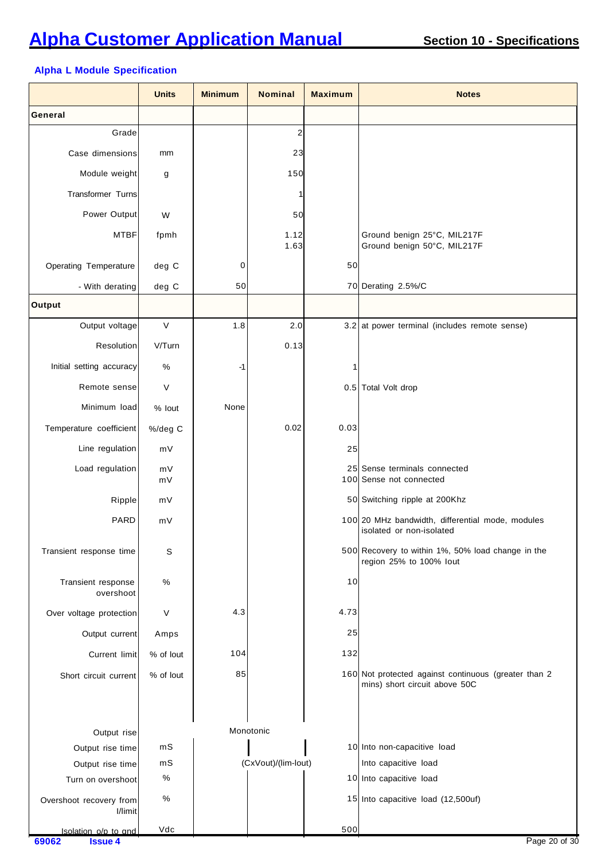#### **Alpha L Module Specification**

|                                      | <b>Units</b> | <b>Minimum</b> | <b>Nominal</b>      | <b>Maximum</b> | <b>Notes</b>                                                                          |
|--------------------------------------|--------------|----------------|---------------------|----------------|---------------------------------------------------------------------------------------|
| General                              |              |                |                     |                |                                                                                       |
| Grade                                |              |                | $\mathbf 2$         |                |                                                                                       |
| Case dimensions                      | mm           |                | 23                  |                |                                                                                       |
| Module weight                        | g            |                | 150                 |                |                                                                                       |
| Transformer Turns                    |              |                | $\mathbf{1}$        |                |                                                                                       |
| Power Output                         | W            |                | 50                  |                |                                                                                       |
| <b>MTBF</b>                          | fpmh         |                | 1.12                |                | Ground benign 25°C, MIL217F                                                           |
|                                      |              |                | 1.63                |                | Ground benign 50°C, MIL217F                                                           |
| <b>Operating Temperature</b>         | deg C        | 0              |                     | 50             |                                                                                       |
| - With derating                      | deg C        | 50             |                     |                | 70 Derating 2.5%/C                                                                    |
| Output                               |              |                |                     |                |                                                                                       |
| Output voltage                       | $\vee$       | 1.8            | 2.0                 |                | 3.2 at power terminal (includes remote sense)                                         |
| Resolution                           | V/Turn       |                | 0.13                |                |                                                                                       |
| Initial setting accuracy             | $\%$         | -1             |                     | 1              |                                                                                       |
| Remote sense                         | V            |                |                     |                | 0.5 Total Volt drop                                                                   |
| Minimum load                         | % lout       | None           |                     |                |                                                                                       |
| Temperature coefficient              | %/deg C      |                | 0.02                | 0.03           |                                                                                       |
| Line regulation                      | mV           |                |                     | 25             |                                                                                       |
| Load regulation                      | mV           |                |                     |                | 25 Sense terminals connected                                                          |
|                                      | mV           |                |                     |                | 100 Sense not connected                                                               |
| Ripple                               | mV           |                |                     |                | 50 Switching ripple at 200Khz                                                         |
| PARD                                 | mV           |                |                     |                | 100 20 MHz bandwidth, differential mode, modules<br>isolated or non-isolated          |
| Transient response time              | S            |                |                     |                | 500 Recovery to within 1%, 50% load change in the                                     |
|                                      |              |                |                     |                | region 25% to 100% lout                                                               |
| Transient response                   | %            |                |                     | 10             |                                                                                       |
| overshoot                            |              |                |                     |                |                                                                                       |
| Over voltage protection              | V            | 4.3            |                     | 4.73           |                                                                                       |
| Output current                       | Amps         |                |                     | 25             |                                                                                       |
| Current limit                        | % of lout    | 104            |                     | 132            |                                                                                       |
| Short circuit current                | % of lout    | 85             |                     |                | 160 Not protected against continuous (greater than 2<br>mins) short circuit above 50C |
|                                      |              |                |                     |                |                                                                                       |
|                                      |              |                |                     |                |                                                                                       |
| Output rise                          | mS           |                | Monotonic           |                |                                                                                       |
| Output rise time<br>Output rise time | mS           |                | (CxVout)/(lim-lout) |                | 10 Into non-capacitive load<br>Into capacitive load                                   |
| Turn on overshoot                    | $\%$         |                |                     |                | 10 Into capacitive load                                                               |
|                                      | $\%$         |                |                     |                | 15 Into capacitive load (12,500uf)                                                    |
| Overshoot recovery from<br>I/limit   |              |                |                     |                |                                                                                       |
| Isolation o/p to and                 | Vdc          |                |                     | 500            |                                                                                       |
| 69062<br><b>Issue 4</b>              |              |                |                     |                | Page 20 of 30                                                                         |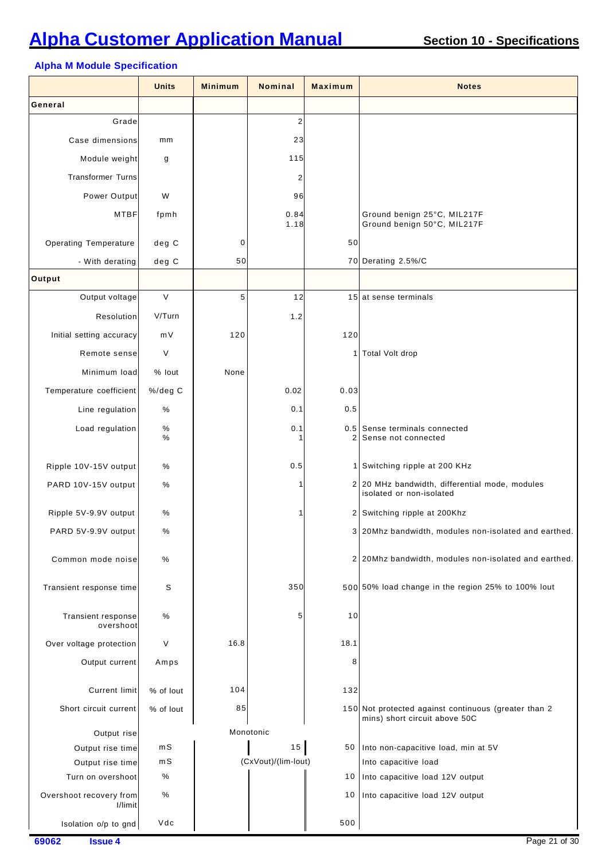### **Alpha M Module Specification**

|                                    | <b>Units</b> | <b>Minimum</b> | <b>Nominal</b>          | <b>Maximum</b> | <b>Notes</b>                                                                          |
|------------------------------------|--------------|----------------|-------------------------|----------------|---------------------------------------------------------------------------------------|
| General                            |              |                |                         |                |                                                                                       |
| Grade                              |              |                | $\sqrt{2}$              |                |                                                                                       |
| Case dimensions                    | mm           |                | 23                      |                |                                                                                       |
| Module weight                      | g            |                | 115                     |                |                                                                                       |
| <b>Transformer Turns</b>           |              |                | $\overline{\mathbf{c}}$ |                |                                                                                       |
| Power Output                       | W            |                | 96                      |                |                                                                                       |
| <b>MTBF</b>                        | fpmh         |                | 0.84<br>1.18            |                | Ground benign 25°C, MIL217F<br>Ground benign 50°C, MIL217F                            |
| <b>Operating Temperature</b>       | deg C        | 0              |                         | 50             |                                                                                       |
| - With derating                    | deg C        | 50             |                         |                | 70 Derating 2.5%/C                                                                    |
| Output                             |              |                |                         |                |                                                                                       |
| Output voltage                     | $\vee$       | 5              | 12                      |                | 15 at sense terminals                                                                 |
| Resolution                         | V/Turn       |                | $1.2$                   |                |                                                                                       |
| Initial setting accuracy           | mV           | 120            |                         | 120            |                                                                                       |
| Remote sense                       | V            |                |                         |                | 1 Total Volt drop                                                                     |
| Minimum load                       | % lout       | None           |                         |                |                                                                                       |
| Temperature coefficient            | %/deg C      |                | 0.02                    | 0.03           |                                                                                       |
| Line regulation                    | %            |                | 0.1                     | 0.5            |                                                                                       |
| Load regulation                    | $\%$<br>%    |                | 0.1                     | $\overline{2}$ | 0.5 Sense terminals connected<br>Sense not connected                                  |
| Ripple 10V-15V output              | %            |                | 0.5                     |                | 1 Switching ripple at 200 KHz                                                         |
| PARD 10V-15V output                | $\%$         |                |                         |                | 2 20 MHz bandwidth, differential mode, modules<br>isolated or non-isolated            |
| Ripple 5V-9.9V output              | %            |                |                         |                | 2 Switching ripple at 200Khz                                                          |
| PARD 5V-9.9V output                | %            |                |                         |                | 3 20Mhz bandwidth, modules non-isolated and earthed.                                  |
| Common mode noise                  | %            |                |                         |                | 2 20Mhz bandwidth, modules non-isolated and earthed.                                  |
| Transient response time            | S            |                | 350                     |                | 500 50% load change in the region 25% to 100% lout                                    |
| Transient response<br>overshoot    | %            |                | 5                       | 10             |                                                                                       |
| Over voltage protection            | V            | 16.8           |                         | 18.1           |                                                                                       |
| Output current                     | Amps         |                |                         | 8              |                                                                                       |
| <b>Current limit</b>               | % of lout    | 104            |                         | 132            |                                                                                       |
| Short circuit current              | % of lout    | 85             |                         |                | 150 Not protected against continuous (greater than 2<br>mins) short circuit above 50C |
| Output rise                        |              |                | Monotonic               |                |                                                                                       |
| Output rise time                   | mS           |                | 15                      | 50             | Into non-capacitive load, min at 5V                                                   |
| Output rise time                   | mS           |                | (CxVout)/(lim-lout)     |                | Into capacitive load                                                                  |
| Turn on overshoot                  | $\%$         |                |                         | 10             | Into capacitive load 12V output                                                       |
| Overshoot recovery from<br>I/limit | $\%$         |                |                         | 10             | Into capacitive load 12V output                                                       |
| Isolation o/p to gnd               | Vdc          |                |                         | 500            |                                                                                       |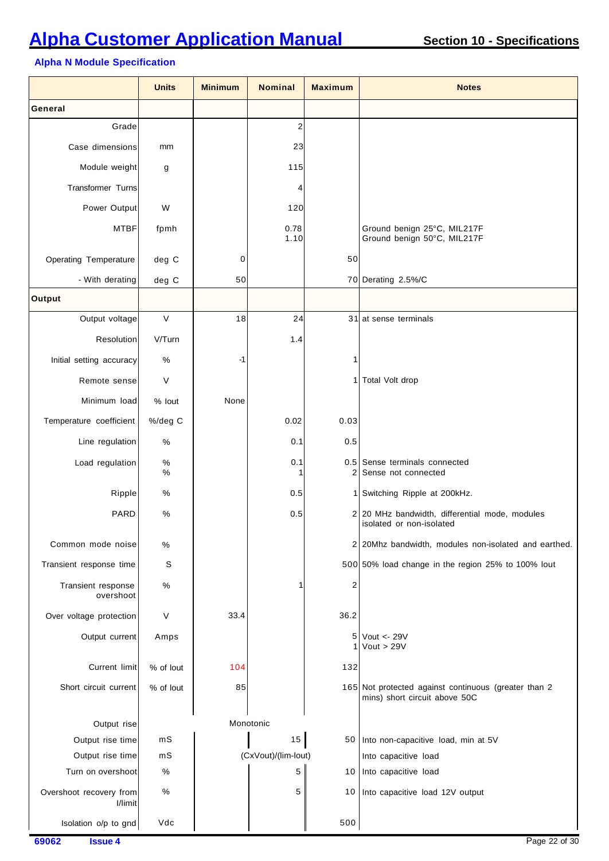### **Alpha N Module Specification**

|                                      | <b>Units</b> | <b>Minimum</b> | <b>Nominal</b>            | <b>Maximum</b> | <b>Notes</b>                                                                          |
|--------------------------------------|--------------|----------------|---------------------------|----------------|---------------------------------------------------------------------------------------|
| General                              |              |                |                           |                |                                                                                       |
| Grade                                |              |                | $\overline{c}$            |                |                                                                                       |
| Case dimensions                      | mm           |                | 23                        |                |                                                                                       |
| Module weight                        | g            |                | 115                       |                |                                                                                       |
| Transformer Turns                    |              |                | 4                         |                |                                                                                       |
| Power Output                         | W            |                | 120                       |                |                                                                                       |
| <b>MTBF</b>                          | fpmh         |                | 0.78                      |                | Ground benign 25°C, MIL217F                                                           |
|                                      |              |                | 1.10                      |                | Ground benign 50°C, MIL217F                                                           |
| <b>Operating Temperature</b>         | deg C        | 0              |                           | 50             |                                                                                       |
| - With derating                      | deg C        | 50             |                           |                | 70 Derating 2.5%/C                                                                    |
| Output                               |              |                |                           |                |                                                                                       |
| Output voltage                       | $\mathsf{V}$ | 18             | 24                        |                | 31 at sense terminals                                                                 |
| Resolution                           | V/Turn       |                | 1.4                       |                |                                                                                       |
| Initial setting accuracy             | $\%$         | $-1$           |                           | 1              |                                                                                       |
| Remote sense                         | V            |                |                           | 1              | Total Volt drop                                                                       |
| Minimum load                         | % lout       | None           |                           |                |                                                                                       |
| Temperature coefficient              | %/deg C      |                | 0.02                      | 0.03           |                                                                                       |
| Line regulation                      | $\%$         |                | 0.1                       | 0.5            |                                                                                       |
| Load regulation                      | $\%$         |                | 0.1                       |                | 0.5 Sense terminals connected                                                         |
|                                      | $\%$         |                |                           | 2              | Sense not connected                                                                   |
| Ripple                               | $\%$         |                | 0.5                       |                | 1 Switching Ripple at 200kHz.                                                         |
| <b>PARD</b>                          | $\%$         |                | $0.5\,$                   |                | 2 20 MHz bandwidth, differential mode, modules<br>isolated or non-isolated            |
| Common mode noise                    | $\%$         |                |                           |                | 2 20Mhz bandwidth, modules non-isolated and earthed.                                  |
| Transient response time              | S            |                |                           |                | 500 50% load change in the region 25% to 100% lout                                    |
|                                      |              |                |                           |                |                                                                                       |
| Transient response<br>overshoot      | $\%$         |                |                           | 2              |                                                                                       |
| Over voltage protection              | V            | 33.4           |                           | 36.2           |                                                                                       |
| Output current                       | Amps         |                |                           |                | $5$ Vout < 29V                                                                        |
|                                      |              |                |                           |                | Vout $> 29V$                                                                          |
| Current limit                        | % of lout    | 104            |                           | 132            |                                                                                       |
| Short circuit current                | % of lout    | 85             |                           |                | 165 Not protected against continuous (greater than 2<br>mins) short circuit above 50C |
|                                      |              |                |                           |                |                                                                                       |
| Output rise                          |              |                | Monotonic                 |                |                                                                                       |
| Output rise time<br>Output rise time | mS<br>mS     |                | 15<br>(CxVout)/(lim-lout) | 50             | Into non-capacitive load, min at 5V                                                   |
| Turn on overshoot                    | $\%$         |                | 5                         | 10             | Into capacitive load<br>Into capacitive load                                          |
|                                      |              |                |                           |                |                                                                                       |
| Overshoot recovery from<br>I/limit   | $\%$         |                | 5                         | 10             | Into capacitive load 12V output                                                       |
| Isolation o/p to gnd                 | Vdc          |                |                           | 500            |                                                                                       |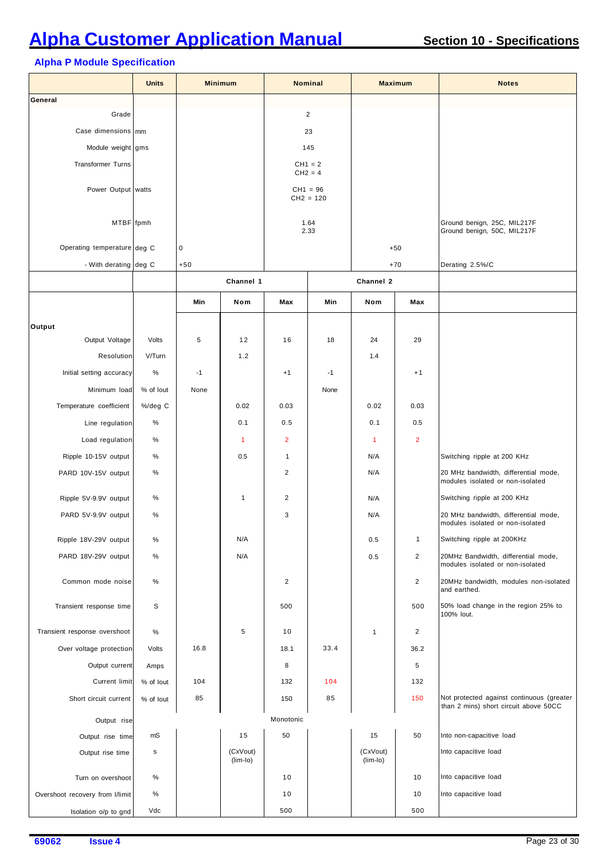### **Alpha P Module Specification**

|                                 | <b>Units</b> |           | <b>Minimum</b>         |                | Nominal                   | <b>Maximum</b>         |                | <b>Notes</b>                                                                       |
|---------------------------------|--------------|-----------|------------------------|----------------|---------------------------|------------------------|----------------|------------------------------------------------------------------------------------|
| General                         |              |           |                        |                |                           |                        |                |                                                                                    |
| Grade                           |              |           |                        |                | $\overline{2}$            |                        |                |                                                                                    |
| Case dimensions mm              |              |           |                        |                | 23                        |                        |                |                                                                                    |
| Module weight gms               |              |           |                        |                | 145                       |                        |                |                                                                                    |
| <b>Transformer Turns</b>        |              |           |                        |                | $CH1 = 2$                 |                        |                |                                                                                    |
|                                 |              |           |                        |                | $CH2 = 4$                 |                        |                |                                                                                    |
| Power Output watts              |              |           |                        |                | $CH1 = 96$<br>$CH2 = 120$ |                        |                |                                                                                    |
|                                 |              |           |                        |                |                           |                        |                |                                                                                    |
| MTBF fpmh                       |              |           |                        |                | 1.64<br>2.33              |                        |                | Ground benign, 25C, MIL217F<br>Ground benign, 50C, MIL217F                         |
| Operating temperature deg C     |              | $\pmb{0}$ |                        |                |                           |                        | $+50$          |                                                                                    |
| - With derating deg C           |              | $+50$     |                        |                |                           |                        | $+70$          | Derating 2.5%/C                                                                    |
|                                 |              |           | Channel 1              |                |                           | Channel 2              |                |                                                                                    |
|                                 |              |           |                        |                |                           |                        |                |                                                                                    |
|                                 |              | Min       | Nom                    | Max            | Min                       | Nom                    | Max            |                                                                                    |
| Output                          |              |           |                        |                |                           |                        |                |                                                                                    |
| Output Voltage                  | Volts        | 5         | 12                     | 16             | 18                        | 24                     | 29             |                                                                                    |
| Resolution                      | V/Turn       |           | 1.2                    |                |                           | 1.4                    |                |                                                                                    |
| Initial setting accuracy        | $\%$         | $-1$      |                        | $+1$           | $-1$                      |                        | $+1$           |                                                                                    |
| Minimum load                    | % of lout    | None      |                        |                | None                      |                        |                |                                                                                    |
| Temperature coefficient         | %/deg C      |           | 0.02                   | 0.03           |                           | 0.02                   | 0.03           |                                                                                    |
| Line regulation                 | $\%$         |           | 0.1                    | 0.5            |                           | 0.1                    | 0.5            |                                                                                    |
| Load regulation                 | $\%$         |           | $\mathbf{1}$           | $\overline{2}$ |                           | $\overline{1}$         | $\overline{2}$ |                                                                                    |
| Ripple 10-15V output            | %            |           | 0.5                    | $\mathbf{1}$   |                           | N/A                    |                | Switching ripple at 200 KHz                                                        |
| PARD 10V-15V output             | %            |           |                        | $\overline{2}$ |                           | N/A                    |                | 20 MHz bandwidth, differential mode,<br>modules isolated or non-isolated           |
| Ripple 5V-9.9V output           | $\%$         |           | $\mathbf{1}$           | $\overline{2}$ |                           | N/A                    |                | Switching ripple at 200 KHz                                                        |
| PARD 5V-9.9V output             | $\%$         |           |                        | 3              |                           | N/A                    |                | 20 MHz bandwidth, differential mode,<br>modules isolated or non-isolated           |
| Ripple 18V-29V output           | %            |           | N/A                    |                |                           | 0.5                    | $\mathbf{1}$   | Switching ripple at 200KHz                                                         |
| PARD 18V-29V output             | $\%$         |           | N/A                    |                |                           | 0.5                    | $\overline{2}$ | 20MHz Bandwidth, differential mode,<br>modules isolated or non-isolated            |
| Common mode noise               | $\%$         |           |                        | $\overline{2}$ |                           |                        | 2              | 20MHz bandwidth, modules non-isolated<br>and earthed.                              |
| Transient response time         | S            |           |                        | 500            |                           |                        | 500            | 50% load change in the region 25% to<br>100% lout.                                 |
| Transient response overshoot    | $\%$         |           | 5                      | 10             |                           | $\mathbf{1}$           | $\overline{2}$ |                                                                                    |
| Over voltage protection         | Volts        | 16.8      |                        | 18.1           | 33.4                      |                        | 36.2           |                                                                                    |
| Output current                  | Amps         |           |                        | 8              |                           |                        | $\,$ 5 $\,$    |                                                                                    |
| Current limit                   | % of lout    | 104       |                        | 132            | 104                       |                        | 132            |                                                                                    |
| Short circuit current           | % of lout    | 85        |                        | 150            | 85                        |                        | 150            | Not protected against continuous (greater<br>than 2 mins) short circuit above 50CC |
| Output rise                     |              |           |                        | Monotonic      |                           |                        |                |                                                                                    |
| Output rise time                | mS           |           | 15                     | 50             |                           | 15                     | 50             | Into non-capacitive load                                                           |
| Output rise time                | s            |           | (CxVout)<br>$(lim-lo)$ |                |                           | (CxVout)<br>$(lim-lo)$ |                | Into capacitive load                                                               |
| Turn on overshoot               | $\%$         |           |                        | 10             |                           |                        | 10             | Into capacitive load                                                               |
| Overshoot recovery from I/limit | $\%$         |           |                        | 10             |                           |                        | 10             | Into capacitive load                                                               |
| Isolation o/p to gnd            | Vdc          |           |                        | 500            |                           |                        | 500            |                                                                                    |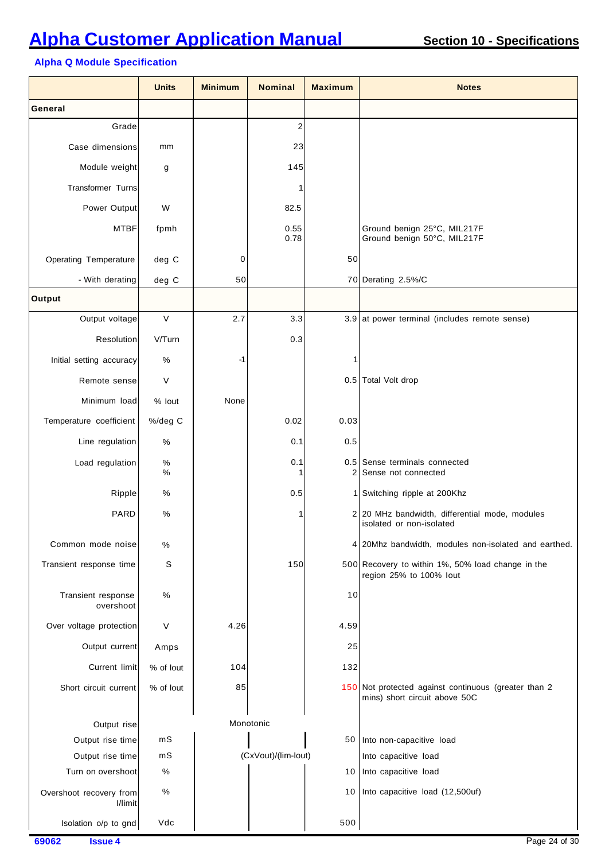### **Alpha Q Module Specification**

|                                    | <b>Units</b> | <b>Minimum</b> | <b>Nominal</b>      | <b>Maximum</b> | <b>Notes</b>                                                                          |
|------------------------------------|--------------|----------------|---------------------|----------------|---------------------------------------------------------------------------------------|
| General                            |              |                |                     |                |                                                                                       |
| Grade                              |              |                | $\overline{2}$      |                |                                                                                       |
| Case dimensions                    | mm           |                | 23                  |                |                                                                                       |
| Module weight                      | g            |                | 145                 |                |                                                                                       |
| Transformer Turns                  |              |                | 1                   |                |                                                                                       |
| Power Output                       | W            |                | 82.5                |                |                                                                                       |
| <b>MTBF</b>                        | fpmh         |                | 0.55                |                | Ground benign 25°C, MIL217F                                                           |
|                                    |              |                | 0.78                |                | Ground benign 50°C, MIL217F                                                           |
| <b>Operating Temperature</b>       | deg C        | $\mathbf 0$    |                     | 50             |                                                                                       |
| - With derating                    | deg C        | 50             |                     |                | 70 Derating 2.5%/C                                                                    |
| Output                             |              |                |                     |                |                                                                                       |
| Output voltage                     | $\vee$       | 2.7            | 3.3                 |                | 3.9 at power terminal (includes remote sense)                                         |
| Resolution                         | V/Turn       |                | 0.3                 |                |                                                                                       |
| Initial setting accuracy           | %            | -1             |                     | 1              |                                                                                       |
| Remote sense                       | V            |                |                     |                | 0.5 Total Volt drop                                                                   |
| Minimum load                       | % lout       | None           |                     |                |                                                                                       |
| Temperature coefficient            | %/deg C      |                | 0.02                | 0.03           |                                                                                       |
| Line regulation                    | $\%$         |                | 0.1                 | 0.5            |                                                                                       |
| Load regulation                    | $\%$         |                | 0.1                 |                | 0.5 Sense terminals connected                                                         |
|                                    | $\%$         |                |                     |                | 2 Sense not connected                                                                 |
| Ripple                             | %            |                | 0.5                 |                | 1 Switching ripple at 200Khz                                                          |
| <b>PARD</b>                        | %            |                | 1                   |                | 2 20 MHz bandwidth, differential mode, modules                                        |
|                                    |              |                |                     |                | isolated or non-isolated                                                              |
| Common mode noise                  | $\%$         |                |                     |                | 4 20Mhz bandwidth, modules non-isolated and earthed.                                  |
| Transient response time            | S            |                | 150                 |                | 500 Recovery to within 1%, 50% load change in the<br>region 25% to 100% lout          |
| Transient response                 | $\%$         |                |                     | 10             |                                                                                       |
| overshoot                          |              |                |                     |                |                                                                                       |
| Over voltage protection            | $\vee$       | 4.26           |                     | 4.59           |                                                                                       |
| Output current                     | Amps         |                |                     | 25             |                                                                                       |
| Current limit                      | % of lout    | 104            |                     | 132            |                                                                                       |
| Short circuit current              | % of lout    | 85             |                     |                | 150 Not protected against continuous (greater than 2<br>mins) short circuit above 50C |
|                                    |              |                |                     |                |                                                                                       |
| Output rise                        |              |                | Monotonic           |                |                                                                                       |
| Output rise time                   | mS           |                |                     |                | 50 Into non-capacitive load                                                           |
| Output rise time                   | mS           |                | (CxVout)/(lim-lout) |                | Into capacitive load                                                                  |
| Turn on overshoot                  | $\%$         |                |                     |                | 10 Into capacitive load                                                               |
| Overshoot recovery from<br>I/limit | $\%$         |                |                     | 10             | Into capacitive load (12,500uf)                                                       |
|                                    | Vdc          |                |                     | 500            |                                                                                       |
| Isolation o/p to gnd               |              |                |                     |                |                                                                                       |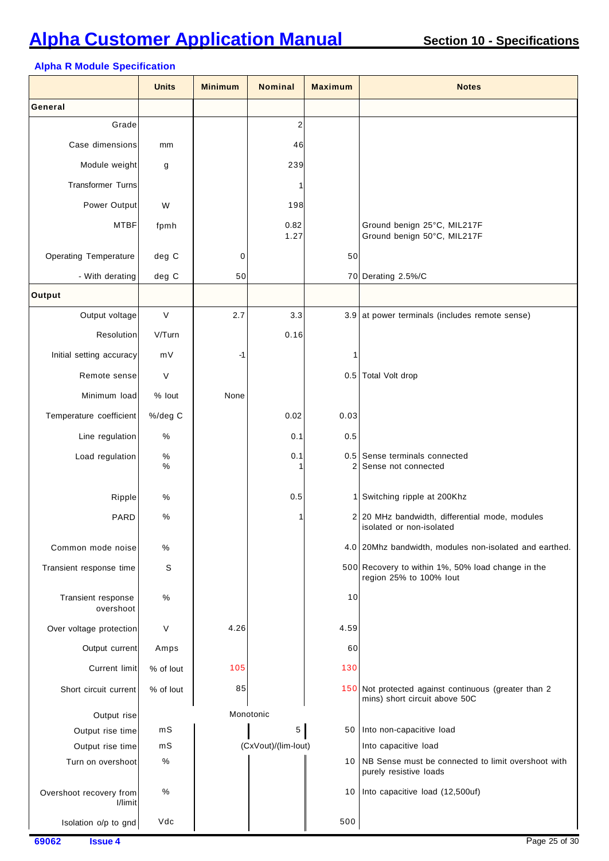#### **Alpha R Module Specification**

|                                 | <b>Units</b> | <b>Minimum</b> | <b>Nominal</b>      | <b>Maximum</b>  | <b>Notes</b>                                                                 |
|---------------------------------|--------------|----------------|---------------------|-----------------|------------------------------------------------------------------------------|
| General                         |              |                |                     |                 |                                                                              |
| Grade                           |              |                | $\overline{c}$      |                 |                                                                              |
| Case dimensions                 | mm           |                | 46                  |                 |                                                                              |
| Module weight                   | g            |                | 239                 |                 |                                                                              |
| Transformer Turns               |              |                | 1                   |                 |                                                                              |
| Power Output                    | W            |                | 198                 |                 |                                                                              |
| <b>MTBF</b>                     | fpmh         |                | 0.82                |                 | Ground benign 25°C, MIL217F                                                  |
|                                 |              |                | 1.27                |                 | Ground benign 50°C, MIL217F                                                  |
| <b>Operating Temperature</b>    | deg C        | 0              |                     | 50              |                                                                              |
| - With derating                 | deg C        | 50             |                     |                 | 70 Derating 2.5%/C                                                           |
| Output                          |              |                |                     |                 |                                                                              |
| Output voltage                  | $\vee$       | 2.7            | 3.3                 |                 | 3.9 at power terminals (includes remote sense)                               |
| Resolution                      | V/Turn       |                | 0.16                |                 |                                                                              |
| Initial setting accuracy        | mV           | $-1$           |                     | 1               |                                                                              |
| Remote sense                    | V            |                |                     |                 | 0.5 Total Volt drop                                                          |
| Minimum load                    | % lout       | None           |                     |                 |                                                                              |
| Temperature coefficient         | %/deg C      |                | 0.02                | 0.03            |                                                                              |
| Line regulation                 | $\%$         |                | 0.1                 | 0.5             |                                                                              |
| Load regulation                 | $\%$         |                | 0.1                 |                 | 0.5 Sense terminals connected                                                |
|                                 | %            |                |                     |                 | 2 Sense not connected                                                        |
|                                 | $\%$         |                | 0.5                 |                 | 1 Switching ripple at 200Khz                                                 |
| Ripple                          |              |                | 1                   |                 |                                                                              |
| PARD                            | $\%$         |                |                     |                 | 2 20 MHz bandwidth, differential mode, modules<br>isolated or non-isolated   |
| Common mode noise               | %            |                |                     |                 | 4.0 20Mhz bandwidth, modules non-isolated and earthed.                       |
| Transient response time         | S            |                |                     |                 | 500 Recovery to within 1%, 50% load change in the                            |
|                                 |              |                |                     |                 | region 25% to 100% lout                                                      |
| Transient response<br>overshoot | $\%$         |                |                     | 10              |                                                                              |
| Over voltage protection         | V            | 4.26           |                     | 4.59            |                                                                              |
| Output current                  | Amps         |                |                     | 60              |                                                                              |
| <b>Current limit</b>            | % of lout    | 105            |                     | 130             |                                                                              |
| Short circuit current           | % of lout    | 85             |                     |                 | 150 Not protected against continuous (greater than 2                         |
|                                 |              |                |                     |                 | mins) short circuit above 50C                                                |
| Output rise                     |              |                | Monotonic           |                 |                                                                              |
| Output rise time                | mS           |                | 5 <sup>1</sup>      | 50              | Into non-capacitive load                                                     |
| Output rise time                | mS           |                | (CxVout)/(lim-lout) |                 | Into capacitive load                                                         |
| Turn on overshoot               | $\%$         |                |                     | 10 <sup>°</sup> | NB Sense must be connected to limit overshoot with<br>purely resistive loads |
| Overshoot recovery from         | $\%$         |                |                     | 10              | Into capacitive load (12,500uf)                                              |
| I/limit                         |              |                |                     |                 |                                                                              |
| Isolation o/p to gnd            | Vdc          |                |                     | 500             |                                                                              |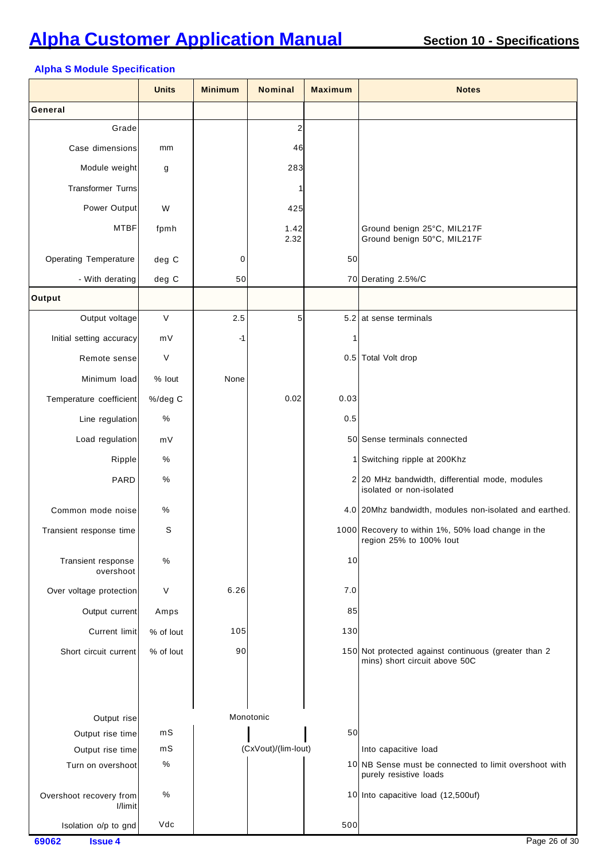#### **Alpha S Module Specification**

|                                    | <b>Units</b> | <b>Minimum</b> | <b>Nominal</b>      | <b>Maximum</b> | <b>Notes</b>                                                                          |
|------------------------------------|--------------|----------------|---------------------|----------------|---------------------------------------------------------------------------------------|
| General                            |              |                |                     |                |                                                                                       |
| Grade                              |              |                | $\overline{2}$      |                |                                                                                       |
| Case dimensions                    | mm           |                | 46                  |                |                                                                                       |
| Module weight                      | g            |                | 283                 |                |                                                                                       |
| Transformer Turns                  |              |                | 1                   |                |                                                                                       |
| Power Output                       | W            |                | 425                 |                |                                                                                       |
| <b>MTBF</b>                        | fpmh         |                | 1.42                |                | Ground benign 25°C, MIL217F                                                           |
|                                    |              |                | 2.32                |                | Ground benign 50°C, MIL217F                                                           |
| <b>Operating Temperature</b>       | deg C        | 0              |                     | 50             |                                                                                       |
| - With derating                    | deg C        | 50             |                     |                | 70 Derating 2.5%/C                                                                    |
| Output                             |              |                |                     |                |                                                                                       |
| Output voltage                     | $\vee$       | 2.5            | 5                   |                | 5.2 at sense terminals                                                                |
| Initial setting accuracy           | mV           | $-1$           |                     | 1              |                                                                                       |
| Remote sense                       | $\vee$       |                |                     |                | 0.5 Total Volt drop                                                                   |
| Minimum load                       | % lout       | None           |                     |                |                                                                                       |
| Temperature coefficient            | %/deg C      |                | 0.02                | 0.03           |                                                                                       |
| Line regulation                    | $\%$         |                |                     | 0.5            |                                                                                       |
| Load regulation                    | mV           |                |                     |                | 50 Sense terminals connected                                                          |
| Ripple                             | $\%$         |                |                     |                | 1 Switching ripple at 200Khz                                                          |
| PARD                               | $\%$         |                |                     |                | 2 20 MHz bandwidth, differential mode, modules<br>isolated or non-isolated            |
| Common mode noise                  | $\%$         |                |                     |                | 4.0 20Mhz bandwidth, modules non-isolated and earthed.                                |
| Transient response time            | S            |                |                     |                | 1000 Recovery to within 1%, 50% load change in the<br>region 25% to 100% lout         |
| Transient response<br>overshoot    | $\%$         |                |                     | 10             |                                                                                       |
| Over voltage protection            | V            | 6.26           |                     | 7.0            |                                                                                       |
| Output current                     | Amps         |                |                     | 85             |                                                                                       |
| <b>Current limit</b>               | % of lout    | 105            |                     | 130            |                                                                                       |
| Short circuit current              | % of lout    | 90             |                     |                | 150 Not protected against continuous (greater than 2<br>mins) short circuit above 50C |
|                                    |              |                |                     |                |                                                                                       |
| Output rise                        |              |                | Monotonic           |                |                                                                                       |
| Output rise time                   | mS           |                |                     | 50             |                                                                                       |
| Output rise time                   | mS<br>$\%$   |                | (CxVout)/(lim-lout) |                | Into capacitive load                                                                  |
| Turn on overshoot                  |              |                |                     |                | 10 NB Sense must be connected to limit overshoot with<br>purely resistive loads       |
| Overshoot recovery from<br>I/limit | $\%$         |                |                     |                | 10 Into capacitive load (12,500uf)                                                    |
| Isolation o/p to gnd               | Vdc          |                |                     | 500            |                                                                                       |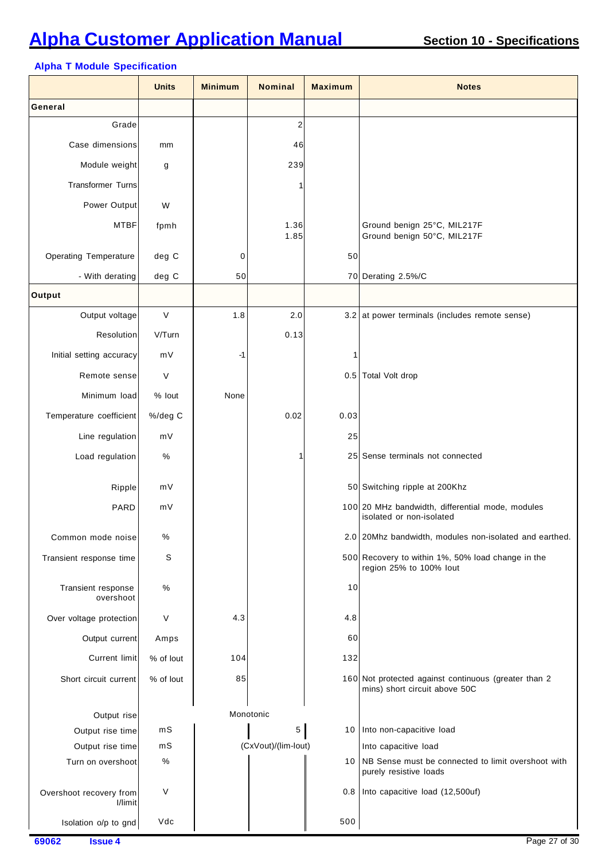#### **Alpha T Module Specification**

|                                 | <b>Units</b> | <b>Minimum</b> | <b>Nominal</b>          | <b>Maximum</b>  | <b>Notes</b>                                                                          |
|---------------------------------|--------------|----------------|-------------------------|-----------------|---------------------------------------------------------------------------------------|
| General                         |              |                |                         |                 |                                                                                       |
| Grade                           |              |                | $\overline{\mathbf{c}}$ |                 |                                                                                       |
| Case dimensions                 | mm           |                | 46                      |                 |                                                                                       |
| Module weight                   | g            |                | 239                     |                 |                                                                                       |
| Transformer Turns               |              |                | 1                       |                 |                                                                                       |
| Power Output                    | W            |                |                         |                 |                                                                                       |
| <b>MTBF</b>                     |              |                | 1.36                    |                 | Ground benign 25°C, MIL217F                                                           |
|                                 | fpmh         |                | 1.85                    |                 | Ground benign 50°C, MIL217F                                                           |
| <b>Operating Temperature</b>    | deg C        | 0              |                         | 50              |                                                                                       |
| - With derating                 | deg C        | 50             |                         |                 | 70 Derating 2.5%/C                                                                    |
| Output                          |              |                |                         |                 |                                                                                       |
| Output voltage                  | $\vee$       | 1.8            | 2.0                     |                 | 3.2 at power terminals (includes remote sense)                                        |
| Resolution                      | V/Turn       |                | 0.13                    |                 |                                                                                       |
| Initial setting accuracy        | mV           | $-1$           |                         | 1               |                                                                                       |
| Remote sense                    | V            |                |                         |                 | 0.5 Total Volt drop                                                                   |
|                                 |              |                |                         |                 |                                                                                       |
| Minimum load                    | % lout       | None           |                         |                 |                                                                                       |
| Temperature coefficient         | %/deg C      |                | 0.02                    | 0.03            |                                                                                       |
| Line regulation                 | mV           |                |                         | 25              |                                                                                       |
| Load regulation                 | $\%$         |                | ٢                       |                 | 25 Sense terminals not connected                                                      |
| Ripple                          | mV           |                |                         |                 | 50 Switching ripple at 200Khz                                                         |
| PARD                            | mV           |                |                         |                 | 100 20 MHz bandwidth, differential mode, modules                                      |
|                                 |              |                |                         |                 | isolated or non-isolated                                                              |
| Common mode noise               | $\%$         |                |                         |                 | 2.0 20Mhz bandwidth, modules non-isolated and earthed.                                |
| Transient response time         | S            |                |                         |                 | 500 Recovery to within 1%, 50% load change in the                                     |
|                                 |              |                |                         |                 | region 25% to 100% lout                                                               |
| Transient response<br>overshoot | $\%$         |                |                         | 10              |                                                                                       |
| Over voltage protection         | V            | 4.3            |                         | 4.8             |                                                                                       |
| Output current                  | Amps         |                |                         | 60              |                                                                                       |
| <b>Current limit</b>            |              | 104            |                         | 132             |                                                                                       |
|                                 | % of lout    |                |                         |                 |                                                                                       |
| Short circuit current           | % of lout    | 85             |                         |                 | 160 Not protected against continuous (greater than 2<br>mins) short circuit above 50C |
|                                 |              |                | Monotonic               |                 |                                                                                       |
| Output rise                     | mS           |                | 5 <sup>1</sup>          | 10              | Into non-capacitive load                                                              |
| Output rise time                |              |                |                         |                 |                                                                                       |
| Output rise time                | mS           |                | (CxVout)/(lim-lout)     |                 | Into capacitive load                                                                  |
| Turn on overshoot               | $\%$         |                |                         | 10 <sup>1</sup> | NB Sense must be connected to limit overshoot with<br>purely resistive loads          |
| Overshoot recovery from         | V            |                |                         | 0.8             | Into capacitive load (12,500uf)                                                       |
| I/limit                         |              |                |                         |                 |                                                                                       |
| Isolation o/p to gnd            | Vdc          |                |                         | 500             |                                                                                       |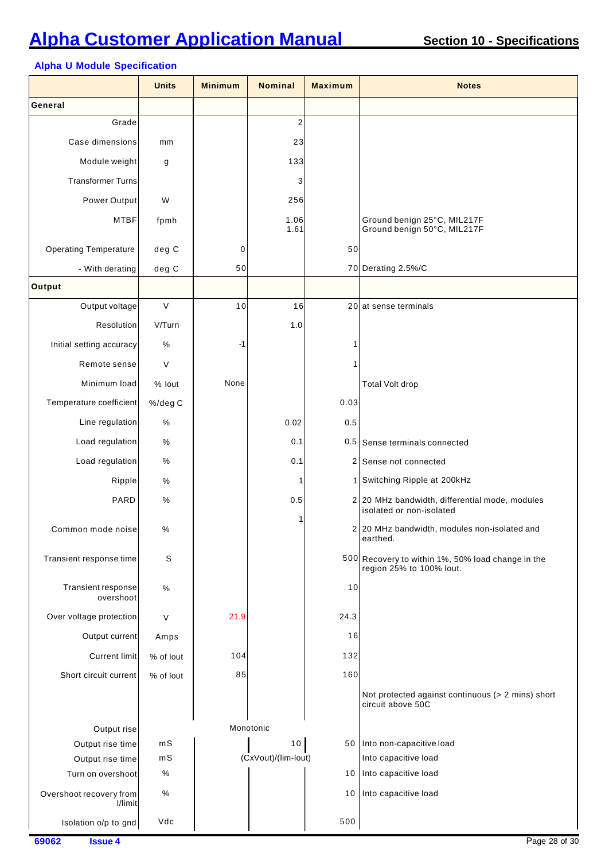### **Alpha U Module Specification**

|                                    | <b>Units</b> | <b>Minimum</b> | <b>Nominal</b>          | <b>Maximum</b> | <b>Notes</b>                                                                  |
|------------------------------------|--------------|----------------|-------------------------|----------------|-------------------------------------------------------------------------------|
| General                            |              |                |                         |                |                                                                               |
| Grade                              |              |                | $\overline{\mathbf{c}}$ |                |                                                                               |
| Case dimensions                    | mm           |                | 23                      |                |                                                                               |
| Module weight                      | g            |                | 133                     |                |                                                                               |
| <b>Transformer Turns</b>           |              |                | 3                       |                |                                                                               |
| Power Output                       | W            |                | 256                     |                |                                                                               |
| <b>MTBF</b>                        | fpmh         |                | 1.06<br>1.61            |                | Ground benign 25°C, MIL217F<br>Ground benign 50°C, MIL217F                    |
| <b>Operating Temperature</b>       | deg C        | 0              |                         | 50             |                                                                               |
| - With derating                    | deg C        | 50             |                         |                | 70 Derating 2.5%/C                                                            |
| Output                             |              |                |                         |                |                                                                               |
| Output voltage                     | V            | 10             | 16                      |                | 20 at sense terminals                                                         |
| Resolution                         | V/Turn       |                | 1.0                     |                |                                                                               |
| Initial setting accuracy           | $\%$         | $-1$           |                         | 1              |                                                                               |
| Remote sense                       | V            |                |                         | 1              |                                                                               |
| Minimum load                       | % lout       | None           |                         |                | <b>Total Volt drop</b>                                                        |
| Temperature coefficient            | %/deg C      |                |                         | 0.03           |                                                                               |
| Line regulation                    | $\%$         |                | 0.02                    | 0.5            |                                                                               |
| Load regulation                    | $\%$         |                | 0.1                     |                | 0.5 Sense terminals connected                                                 |
| Load regulation                    | $\%$         |                | 0.1                     | 2              | Sense not connected                                                           |
| Ripple                             | %            |                |                         |                | 1 Switching Ripple at 200kHz                                                  |
| PARD                               | %            |                | 0.5                     |                | 2 20 MHz bandwidth, differential mode, modules<br>isolated or non-isolated    |
| Common mode noise                  | $\%$         |                |                         |                | 2 20 MHz bandwidth, modules non-isolated and<br>earthed.                      |
| Transient response time            | S            |                |                         |                | 500 Recovery to within 1%, 50% load change in the<br>region 25% to 100% lout. |
| Transient response<br>overshoot    | %            |                |                         | 10             |                                                                               |
| Over voltage protection            | V            | 21.9           |                         | 24.3           |                                                                               |
| Output current                     | Amps         |                |                         | 16             |                                                                               |
| <b>Current limit</b>               | % of lout    | 104            |                         | 132            |                                                                               |
| Short circuit current              | % of lout    | 85             |                         | 160            |                                                                               |
|                                    |              |                |                         |                | Not protected against continuous (> 2 mins) short<br>circuit above 50C        |
| Output rise                        |              |                | Monotonic               |                |                                                                               |
| Output rise time                   | mS           |                | 10                      | 50             | Into non-capacitive load                                                      |
| Output rise time                   | mS           |                | (CxVout)/(lim-lout)     |                | Into capacitive load                                                          |
| Turn on overshoot                  | $\%$         |                |                         | 10             | Into capacitive load                                                          |
| Overshoot recovery from<br>I/limit | $\%$         |                |                         | 10             | Into capacitive load                                                          |
| Isolation o/p to gnd               | Vdc          |                |                         | 500            |                                                                               |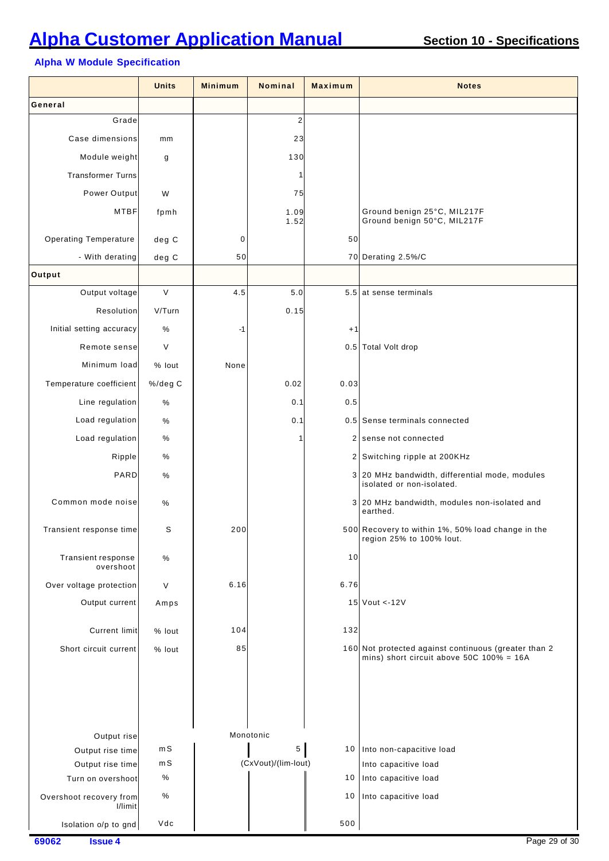### **Alpha W Module Specification**

|                                    | <b>Units</b> | <b>Minimum</b> | Nominal             | <b>Maximum</b> | <b>Notes</b>                                                                  |
|------------------------------------|--------------|----------------|---------------------|----------------|-------------------------------------------------------------------------------|
| General                            |              |                |                     |                |                                                                               |
| Grade                              |              |                | $\mathbf 2$         |                |                                                                               |
| Case dimensions                    | mm           |                | 23                  |                |                                                                               |
| Module weight                      | g            |                | 130                 |                |                                                                               |
| <b>Transformer Turns</b>           |              |                | 1                   |                |                                                                               |
| Power Output                       | W            |                | 75                  |                |                                                                               |
| <b>MTBF</b>                        | fpmh         |                | 1.09<br>1.52        |                | Ground benign 25°C, MIL217F<br>Ground benign 50°C, MIL217F                    |
| <b>Operating Temperature</b>       | deg C        | 0              |                     | 50             |                                                                               |
| - With derating                    | deg C        | 50             |                     |                | 70 Derating 2.5%/C                                                            |
| Output                             |              |                |                     |                |                                                                               |
| Output voltage                     | $\vee$       | 4.5            | $5.0$               |                | 5.5 at sense terminals                                                        |
| Resolution                         | V/Turn       |                | 0.15                |                |                                                                               |
| Initial setting accuracy           | %            | $-1$           |                     | $+1$           |                                                                               |
| Remote sense                       | V            |                |                     |                | 0.5 Total Volt drop                                                           |
| Minimum load                       | % lout       | None           |                     |                |                                                                               |
| Temperature coefficient            | %/deg C      |                | 0.02                | 0.03           |                                                                               |
| Line regulation                    | $\%$         |                | 0.1                 | 0.5            |                                                                               |
| Load regulation                    | %            |                | 0.1                 |                | 0.5 Sense terminals connected                                                 |
| Load regulation                    | ℅            |                | 1                   | 2 <sub>1</sub> | sense not connected                                                           |
| Ripple                             | %            |                |                     |                | 2 Switching ripple at 200KHz                                                  |
| PARD                               | %            |                |                     |                | 3 20 MHz bandwidth, differential mode, modules<br>isolated or non-isolated.   |
| Common mode noise                  | %            |                |                     |                | 3 20 MHz bandwidth, modules non-isolated and<br>earthed.                      |
| Transient response time            | S            | 200            |                     |                | 500 Recovery to within 1%, 50% load change in the<br>region 25% to 100% lout. |
| Transient response<br>overshoot    | %            |                |                     | 10             |                                                                               |
| Over voltage protection            | V            | 6.16           |                     | 6.76           |                                                                               |
| Output current                     | Amps         |                |                     |                | 15 Vout <- 12V                                                                |
| <b>Current limit</b>               | % lout       | 104            |                     | 132            |                                                                               |
| Short circuit current              | % lout       | 85             |                     |                | 160 Not protected against continuous (greater than 2                          |
|                                    |              |                |                     |                | mins) short circuit above $50C$ $100\% = 16A$                                 |
|                                    |              |                |                     |                |                                                                               |
| Output rise                        |              |                | Monotonic           |                |                                                                               |
| Output rise time                   | mS           |                | 5 <sup>1</sup>      | 10             | Into non-capacitive load                                                      |
| Output rise time                   | mS           |                | (CxVout)/(lim-lout) |                | Into capacitive load                                                          |
| Turn on overshoot                  | %            |                |                     | 10             | Into capacitive load                                                          |
| Overshoot recovery from<br>I/limit | $\%$         |                |                     | 10             | Into capacitive load                                                          |
| Isolation o/p to gnd               | Vdc          |                |                     | 500            |                                                                               |